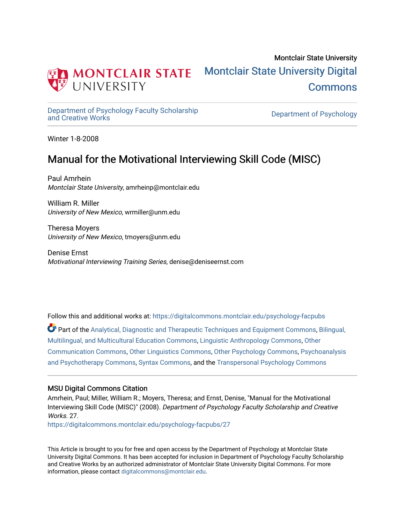

# Montclair State University [Montclair State University Digital](https://digitalcommons.montclair.edu/)  [Commons](https://digitalcommons.montclair.edu/)

[Department of Psychology Faculty Scholarship](https://digitalcommons.montclair.edu/psychology-facpubs) 

Department of Psychology

Winter 1-8-2008

# Manual for the Motivational Interviewing Skill Code (MISC)

Paul Amrhein Montclair State University, amrheinp@montclair.edu

William R. Miller University of New Mexico, wrmiller@unm.edu

Theresa Moyers University of New Mexico, tmoyers@unm.edu

Denise Ernst Motivational Interviewing Training Series, denise@deniseernst.com

Follow this and additional works at: [https://digitalcommons.montclair.edu/psychology-facpubs](https://digitalcommons.montclair.edu/psychology-facpubs?utm_source=digitalcommons.montclair.edu%2Fpsychology-facpubs%2F27&utm_medium=PDF&utm_campaign=PDFCoverPages) 

Part of the [Analytical, Diagnostic and Therapeutic Techniques and Equipment Commons](http://network.bepress.com/hgg/discipline/899?utm_source=digitalcommons.montclair.edu%2Fpsychology-facpubs%2F27&utm_medium=PDF&utm_campaign=PDFCoverPages), Bilingual, [Multilingual, and Multicultural Education Commons](http://network.bepress.com/hgg/discipline/785?utm_source=digitalcommons.montclair.edu%2Fpsychology-facpubs%2F27&utm_medium=PDF&utm_campaign=PDFCoverPages), [Linguistic Anthropology Commons](http://network.bepress.com/hgg/discipline/322?utm_source=digitalcommons.montclair.edu%2Fpsychology-facpubs%2F27&utm_medium=PDF&utm_campaign=PDFCoverPages), [Other](http://network.bepress.com/hgg/discipline/339?utm_source=digitalcommons.montclair.edu%2Fpsychology-facpubs%2F27&utm_medium=PDF&utm_campaign=PDFCoverPages)  [Communication Commons](http://network.bepress.com/hgg/discipline/339?utm_source=digitalcommons.montclair.edu%2Fpsychology-facpubs%2F27&utm_medium=PDF&utm_campaign=PDFCoverPages), [Other Linguistics Commons](http://network.bepress.com/hgg/discipline/385?utm_source=digitalcommons.montclair.edu%2Fpsychology-facpubs%2F27&utm_medium=PDF&utm_campaign=PDFCoverPages), [Other Psychology Commons](http://network.bepress.com/hgg/discipline/415?utm_source=digitalcommons.montclair.edu%2Fpsychology-facpubs%2F27&utm_medium=PDF&utm_campaign=PDFCoverPages), [Psychoanalysis](http://network.bepress.com/hgg/discipline/716?utm_source=digitalcommons.montclair.edu%2Fpsychology-facpubs%2F27&utm_medium=PDF&utm_campaign=PDFCoverPages)  [and Psychotherapy Commons](http://network.bepress.com/hgg/discipline/716?utm_source=digitalcommons.montclair.edu%2Fpsychology-facpubs%2F27&utm_medium=PDF&utm_campaign=PDFCoverPages), [Syntax Commons](http://network.bepress.com/hgg/discipline/384?utm_source=digitalcommons.montclair.edu%2Fpsychology-facpubs%2F27&utm_medium=PDF&utm_campaign=PDFCoverPages), and the [Transpersonal Psychology Commons](http://network.bepress.com/hgg/discipline/1388?utm_source=digitalcommons.montclair.edu%2Fpsychology-facpubs%2F27&utm_medium=PDF&utm_campaign=PDFCoverPages) 

#### MSU Digital Commons Citation

Amrhein, Paul; Miller, William R.; Moyers, Theresa; and Ernst, Denise, "Manual for the Motivational Interviewing Skill Code (MISC)" (2008). Department of Psychology Faculty Scholarship and Creative Works. 27

[https://digitalcommons.montclair.edu/psychology-facpubs/27](https://digitalcommons.montclair.edu/psychology-facpubs/27?utm_source=digitalcommons.montclair.edu%2Fpsychology-facpubs%2F27&utm_medium=PDF&utm_campaign=PDFCoverPages)

This Article is brought to you for free and open access by the Department of Psychology at Montclair State University Digital Commons. It has been accepted for inclusion in Department of Psychology Faculty Scholarship and Creative Works by an authorized administrator of Montclair State University Digital Commons. For more information, please contact [digitalcommons@montclair.edu](mailto:digitalcommons@montclair.edu).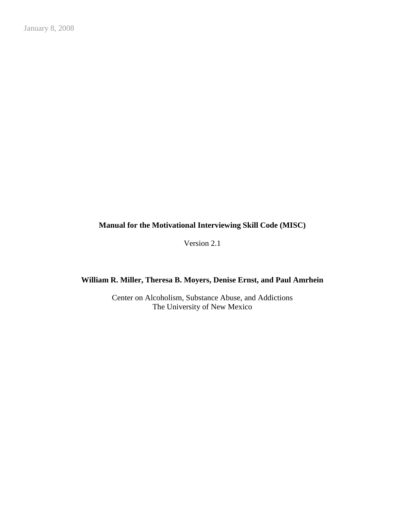#### **Manual for the Motivational Interviewing Skill Code (MISC)**

Version 2.1

## **William R. Miller, Theresa B. Moyers, Denise Ernst, and Paul Amrhein**

Center on Alcoholism, Substance Abuse, and Addictions The University of New Mexico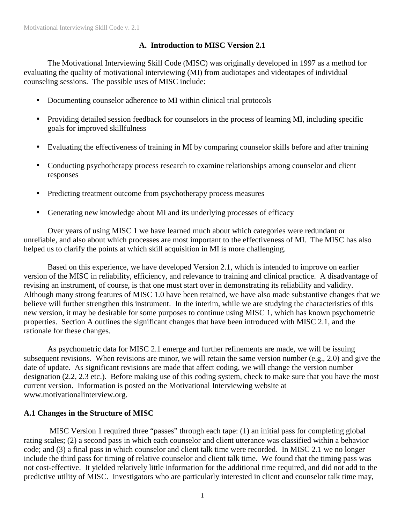#### **A. Introduction to MISC Version 2.1**

 The Motivational Interviewing Skill Code (MISC) was originally developed in 1997 as a method for evaluating the quality of motivational interviewing (MI) from audiotapes and videotapes of individual counseling sessions. The possible uses of MISC include:

- Documenting counselor adherence to MI within clinical trial protocols
- Providing detailed session feedback for counselors in the process of learning MI, including specific goals for improved skillfulness
- Evaluating the effectiveness of training in MI by comparing counselor skills before and after training
- Conducting psychotherapy process research to examine relationships among counselor and client responses
- Predicting treatment outcome from psychotherapy process measures
- Generating new knowledge about MI and its underlying processes of efficacy

 Over years of using MISC 1 we have learned much about which categories were redundant or unreliable, and also about which processes are most important to the effectiveness of MI. The MISC has also helped us to clarify the points at which skill acquisition in MI is more challenging.

 Based on this experience, we have developed Version 2.1, which is intended to improve on earlier version of the MISC in reliability, efficiency, and relevance to training and clinical practice. A disadvantage of revising an instrument, of course, is that one must start over in demonstrating its reliability and validity. Although many strong features of MISC 1.0 have been retained, we have also made substantive changes that we believe will further strengthen this instrument. In the interim, while we are studying the characteristics of this new version, it may be desirable for some purposes to continue using MISC 1, which has known psychometric properties. Section A outlines the significant changes that have been introduced with MISC 2.1, and the rationale for these changes.

 As psychometric data for MISC 2.1 emerge and further refinements are made, we will be issuing subsequent revisions. When revisions are minor, we will retain the same version number (e.g., 2.0) and give the date of update. As significant revisions are made that affect coding, we will change the version number designation (2.2, 2.3 etc.). Before making use of this coding system, check to make sure that you have the most current version. Information is posted on the Motivational Interviewing website at www.motivationalinterview.org.

### **A.1 Changes in the Structure of MISC**

MISC Version 1 required three "passes" through each tape: (1) an initial pass for completing global rating scales; (2) a second pass in which each counselor and client utterance was classified within a behavior code; and (3) a final pass in which counselor and client talk time were recorded. In MISC 2.1 we no longer include the third pass for timing of relative counselor and client talk time. We found that the timing pass was not cost-effective. It yielded relatively little information for the additional time required, and did not add to the predictive utility of MISC. Investigators who are particularly interested in client and counselor talk time may,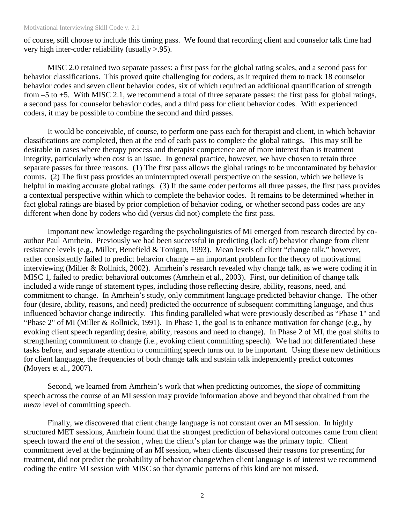#### Motivational Interviewing Skill Code v. 2.1

of course, still choose to include this timing pass. We found that recording client and counselor talk time had very high inter-coder reliability (usually >.95).

 MISC 2.0 retained two separate passes: a first pass for the global rating scales, and a second pass for behavior classifications. This proved quite challenging for coders, as it required them to track 18 counselor behavior codes and seven client behavior codes, six of which required an additional quantification of strength from –5 to +5. With MISC 2.1, we recommend a total of three separate passes: the first pass for global ratings, a second pass for counselor behavior codes, and a third pass for client behavior codes. With experienced coders, it may be possible to combine the second and third passes.

 It would be conceivable, of course, to perform one pass each for therapist and client, in which behavior classifications are completed, then at the end of each pass to complete the global ratings. This may still be desirable in cases where therapy process and therapist competence are of more interest than is treatment integrity, particularly when cost is an issue. In general practice, however, we have chosen to retain three separate passes for three reasons. (1) The first pass allows the global ratings to be uncontaminated by behavior counts. (2) The first pass provides an uninterrupted overall perspective on the session, which we believe is helpful in making accurate global ratings. (3) If the same coder performs all three passes, the first pass provides a contextual perspective within which to complete the behavior codes. It remains to be determined whether in fact global ratings are biased by prior completion of behavior coding, or whether second pass codes are any different when done by coders who did (versus did not) complete the first pass.

 Important new knowledge regarding the psycholinguistics of MI emerged from research directed by coauthor Paul Amrhein. Previously we had been successful in predicting (lack of) behavior change from client resistance levels (e.g., Miller, Benefield & Tonigan, 1993). Mean levels of client "change talk," however, rather consistently failed to predict behavior change – an important problem for the theory of motivational interviewing (Miller & Rollnick, 2002). Amrhein's research revealed why change talk, as we were coding it in MISC 1, failed to predict behavioral outcomes (Amrhein et al., 2003). First, our definition of change talk included a wide range of statement types, including those reflecting desire, ability, reasons, need, and commitment to change. In Amrhein's study, only commitment language predicted behavior change. The other four (desire, ability, reasons, and need) predicted the occurrence of subsequent committing language, and thus influenced behavior change indirectly. This finding paralleled what were previously described as "Phase 1" and "Phase 2" of MI (Miller & Rollnick, 1991). In Phase 1, the goal is to enhance motivation for change (e.g., by evoking client speech regarding desire, ability, reasons and need to change). In Phase 2 of MI, the goal shifts to strengthening commitment to change (i.e., evoking client committing speech). We had not differentiated these tasks before, and separate attention to committing speech turns out to be important. Using these new definitions for client language, the frequencies of both change talk and sustain talk independently predict outcomes (Moyers et al., 2007).

 Second, we learned from Amrhein's work that when predicting outcomes, the *slope* of committing speech across the course of an MI session may provide information above and beyond that obtained from the *mean* level of committing speech.

 Finally, we discovered that client change language is not constant over an MI session. In highly structured MET sessions, Amrhein found that the strongest prediction of behavioral outcomes came from client speech toward the *end* of the session , when the client's plan for change was the primary topic. Client commitment level at the beginning of an MI session, when clients discussed their reasons for presenting for treatment, did not predict the probability of behavior changeWhen client language is of interest we recommend coding the entire MI session with MISC so that dynamic patterns of this kind are not missed.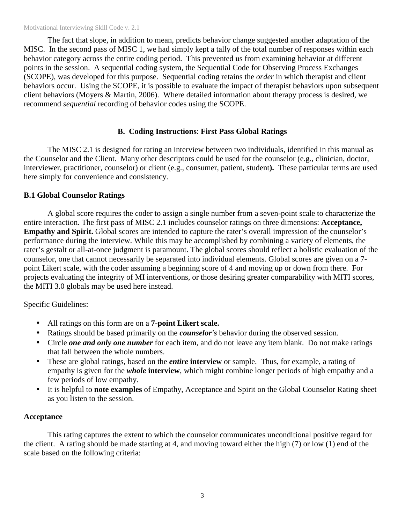#### Motivational Interviewing Skill Code v. 2.1

 The fact that slope, in addition to mean, predicts behavior change suggested another adaptation of the MISC. In the second pass of MISC 1, we had simply kept a tally of the total number of responses within each behavior category across the entire coding period. This prevented us from examining behavior at different points in the session. A sequential coding system, the Sequential Code for Observing Process Exchanges (SCOPE), was developed for this purpose. Sequential coding retains the *order* in which therapist and client behaviors occur. Using the SCOPE, it is possible to evaluate the impact of therapist behaviors upon subsequent client behaviors (Moyers & Martin, 2006). Where detailed information about therapy process is desired, we recommend *sequential* recording of behavior codes using the SCOPE.

#### **B. Coding Instructions**: **First Pass Global Ratings**

The MISC 2.1 is designed for rating an interview between two individuals, identified in this manual as the Counselor and the Client. Many other descriptors could be used for the counselor (e.g., clinician, doctor, interviewer, practitioner, counselor) or client (e.g., consumer, patient, student**).** These particular terms are used here simply for convenience and consistency.

#### **B.1 Global Counselor Ratings**

A global score requires the coder to assign a single number from a seven-point scale to characterize the entire interaction. The first pass of MISC 2.1 includes counselor ratings on three dimensions: **Acceptance, Empathy and Spirit.** Global scores are intended to capture the rater's overall impression of the counselor's performance during the interview. While this may be accomplished by combining a variety of elements, the rater's gestalt or all-at-once judgment is paramount. The global scores should reflect a holistic evaluation of the counselor, one that cannot necessarily be separated into individual elements. Global scores are given on a 7 point Likert scale, with the coder assuming a beginning score of 4 and moving up or down from there. For projects evaluating the integrity of MI interventions, or those desiring greater comparability with MITI scores, the MITI 3.0 globals may be used here instead.

#### Specific Guidelines:

- All ratings on this form are on a **7-point Likert scale.**
- Ratings should be based primarily on the *counselor's* behavior during the observed session.
- Circle *one and only one number* for each item, and do not leave any item blank. Do not make ratings that fall between the whole numbers.
- These are global ratings, based on the *entire* interview or sample. Thus, for example, a rating of empathy is given for the *whole* **interview**, which might combine longer periods of high empathy and a few periods of low empathy.
- It is helpful to **note examples** of Empathy, Acceptance and Spirit on the Global Counselor Rating sheet as you listen to the session.

#### **Acceptance**

This rating captures the extent to which the counselor communicates unconditional positive regard for the client. A rating should be made starting at 4, and moving toward either the high (7) or low (1) end of the scale based on the following criteria: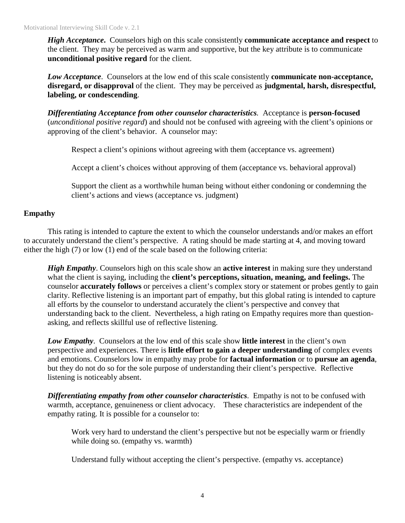*High Acceptance***.** Counselors high on this scale consistently **communicate acceptance and respect** to the client. They may be perceived as warm and supportive, but the key attribute is to communicate **unconditional positive regard** for the client.

*Low Acceptance*. Counselors at the low end of this scale consistently **communicate non-acceptance, disregard, or disapproval** of the client. They may be perceived as **judgmental, harsh, disrespectful, labeling, or condescending**.

*Differentiating Acceptance from other counselor characteristics.* Acceptance is **person-focused** (*unconditional positive regard*) and should not be confused with agreeing with the client's opinions or approving of the client's behavior. A counselor may:

Respect a client's opinions without agreeing with them (acceptance vs. agreement)

Accept a client's choices without approving of them (acceptance vs. behavioral approval)

Support the client as a worthwhile human being without either condoning or condemning the client's actions and views (acceptance vs. judgment)

#### **Empathy**

 This rating is intended to capture the extent to which the counselor understands and/or makes an effort to accurately understand the client's perspective. A rating should be made starting at 4, and moving toward either the high (7) or low (1) end of the scale based on the following criteria:

 *High Empathy*. Counselors high on this scale show an **active interest** in making sure they understand what the client is saying, including the **client's perceptions, situation, meaning, and feelings.** The counselor **accurately follows** or perceives a client's complex story or statement or probes gently to gain clarity. Reflective listening is an important part of empathy, but this global rating is intended to capture all efforts by the counselor to understand accurately the client's perspective and convey that understanding back to the client. Nevertheless, a high rating on Empathy requires more than questionasking, and reflects skillful use of reflective listening.

 *Low Empathy*. Counselors at the low end of this scale show **little interest** in the client's own perspective and experiences. There is **little effort to gain a deeper understanding** of complex events and emotions. Counselors low in empathy may probe for **factual information** or to **pursue an agenda**, but they do not do so for the sole purpose of understanding their client's perspective. Reflective listening is noticeably absent.

*Differentiating empathy from other counselor characteristics*. Empathy is not to be confused with warmth, acceptance, genuineness or client advocacy. These characteristics are independent of the empathy rating. It is possible for a counselor to:

Work very hard to understand the client's perspective but not be especially warm or friendly while doing so. (empathy vs. warmth)

Understand fully without accepting the client's perspective. (empathy vs. acceptance)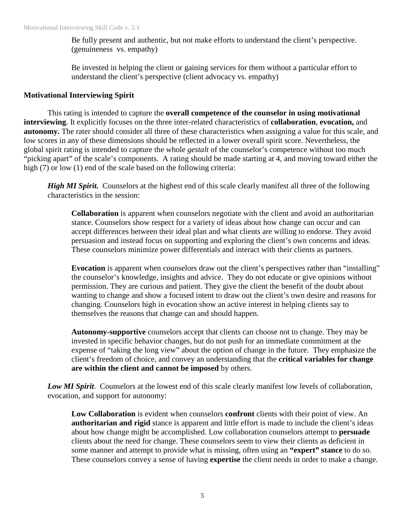Be fully present and authentic, but not make efforts to understand the client's perspective. (genuineness vs. empathy)

Be invested in helping the client or gaining services for them without a particular effort to understand the client's perspective (client advocacy vs. empathy)

#### **Motivational Interviewing Spirit**

 This rating is intended to capture the **overall competence of the counselor in using motivational interviewing**. It explicitly focuses on the three inter-related characteristics of **collaboration**, **evocation,** and **autonomy.** The rater should consider all three of these characteristics when assigning a value for this scale, and low scores in any of these dimensions should be reflected in a lower overall spirit score. Nevertheless, the global spirit rating is intended to capture the whole *gestalt* of the counselor's competence without too much "picking apart" of the scale's components. A rating should be made starting at 4, and moving toward either the high (7) or low (1) end of the scale based on the following criteria:

*High MI Spirit.* Counselors at the highest end of this scale clearly manifest all three of the following characteristics in the session:

**Collaboration** is apparent when counselors negotiate with the client and avoid an authoritarian stance. Counselors show respect for a variety of ideas about how change can occur and can accept differences between their ideal plan and what clients are willing to endorse. They avoid persuasion and instead focus on supporting and exploring the client's own concerns and ideas. These counselors minimize power differentials and interact with their clients as partners.

**Evocation** is apparent when counselors draw out the client's perspectives rather than "installing" the counselor's knowledge, insights and advice. They do not educate or give opinions without permission. They are curious and patient. They give the client the benefit of the doubt about wanting to change and show a focused intent to draw out the client's own desire and reasons for changing. Counselors high in evocation show an active interest in helping clients say to themselves the reasons that change can and should happen.

 **Autonomy-supportive** counselors accept that clients can choose not to change. They may be invested in specific behavior changes, but do not push for an immediate commitment at the expense of "taking the long view" about the option of change in the future. They emphasize the client's freedom of choice, and convey an understanding that the **critical variables for change are within the client and cannot be imposed** by others.

*Low MI Spirit*. Counselors at the lowest end of this scale clearly manifest low levels of collaboration, evocation, and support for autonomy:

 **Low Collaboration** is evident when counselors **confront** clients with their point of view. An **authoritarian and rigid** stance is apparent and little effort is made to include the client's ideas about how change might be accomplished. Low collaboration counselors attempt to **persuade** clients about the need for change. These counselors seem to view their clients as deficient in some manner and attempt to provide what is missing, often using an **"expert" stance** to do so. These counselors convey a sense of having **expertise** the client needs in order to make a change.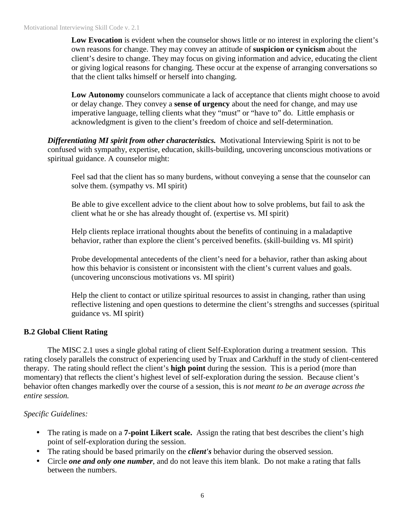**Low Evocation** is evident when the counselor shows little or no interest in exploring the client's own reasons for change. They may convey an attitude of **suspicion or cynicism** about the client's desire to change. They may focus on giving information and advice, educating the client or giving logical reasons for changing. These occur at the expense of arranging conversations so that the client talks himself or herself into changing.

 **Low Autonomy** counselors communicate a lack of acceptance that clients might choose to avoid or delay change. They convey a **sense of urgency** about the need for change, and may use imperative language, telling clients what they "must" or "have to" do. Little emphasis or acknowledgment is given to the client's freedom of choice and self-determination.

*Differentiating MI spirit from other characteristics.* Motivational Interviewing Spirit is not to be confused with sympathy, expertise, education, skills-building, uncovering unconscious motivations or spiritual guidance. A counselor might:

Feel sad that the client has so many burdens, without conveying a sense that the counselor can solve them. (sympathy vs. MI spirit)

Be able to give excellent advice to the client about how to solve problems, but fail to ask the client what he or she has already thought of. (expertise vs. MI spirit)

Help clients replace irrational thoughts about the benefits of continuing in a maladaptive behavior, rather than explore the client's perceived benefits. (skill-building vs. MI spirit)

Probe developmental antecedents of the client's need for a behavior, rather than asking about how this behavior is consistent or inconsistent with the client's current values and goals. (uncovering unconscious motivations vs. MI spirit)

Help the client to contact or utilize spiritual resources to assist in changing, rather than using reflective listening and open questions to determine the client's strengths and successes (spiritual guidance vs. MI spirit)

### **B.2 Global Client Rating**

The MISC 2.1 uses a single global rating of client Self-Exploration during a treatment session. This rating closely parallels the construct of experiencing used by Truax and Carkhuff in the study of client-centered therapy. The rating should reflect the client's **high point** during the session. This is a period (more than momentary) that reflects the client's highest level of self-exploration during the session. Because client's behavior often changes markedly over the course of a session, this is *not meant to be an average across the entire session.*

### *Specific Guidelines:*

- The rating is made on a **7-point Likert scale.** Assign the rating that best describes the client's high point of self-exploration during the session.
- The rating should be based primarily on the *client's* behavior during the observed session.
- Circle *one and only one number*, and do not leave this item blank. Do not make a rating that falls between the numbers.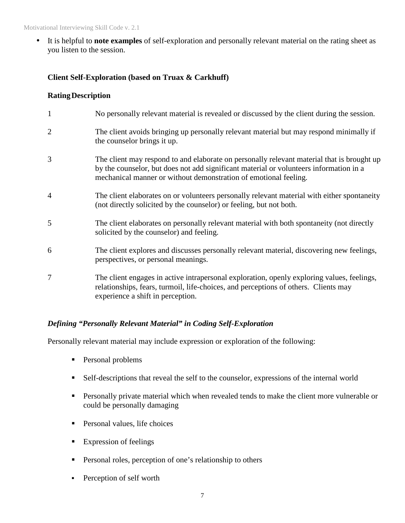• It is helpful to **note examples** of self-exploration and personally relevant material on the rating sheet as you listen to the session.

#### **Client Self-Exploration (based on Truax & Carkhuff)**

#### **Rating Description**

|                | No personally relevant material is revealed or discussed by the client during the session.                                                                                                                                                               |
|----------------|----------------------------------------------------------------------------------------------------------------------------------------------------------------------------------------------------------------------------------------------------------|
| $\overline{2}$ | The client avoids bringing up personally relevant material but may respond minimally if<br>the counsel or brings it up.                                                                                                                                  |
| 3              | The client may respond to and elaborate on personally relevant material that is brought up<br>by the counselor, but does not add significant material or volunteers information in a<br>mechanical manner or without demonstration of emotional feeling. |
| $\overline{4}$ | The client elaborates on or volunteers personally relevant material with either spontaneity<br>(not directly solicited by the counselor) or feeling, but not both.                                                                                       |
| 5              | The client elaborates on personally relevant material with both spontaneity (not directly<br>solicited by the counselor) and feeling.                                                                                                                    |
| 6              | The client explores and discusses personally relevant material, discovering new feelings,<br>perspectives, or personal meanings.                                                                                                                         |
| 7              | The client engages in active intrapersonal exploration, openly exploring values, feelings,<br>relationships, fears, turmoil, life-choices, and perceptions of others. Clients may<br>experience a shift in perception.                                   |

### *Defining "Personally Relevant Material" in Coding Self-Exploration*

Personally relevant material may include expression or exploration of the following:

- **Personal problems**
- Self-descriptions that reveal the self to the counselor, expressions of the internal world
- **Personally private material which when revealed tends to make the client more vulnerable or** could be personally damaging
- **Personal values, life choices**
- **Expression of feelings**
- **Personal roles, perception of one's relationship to others**
- Perception of self worth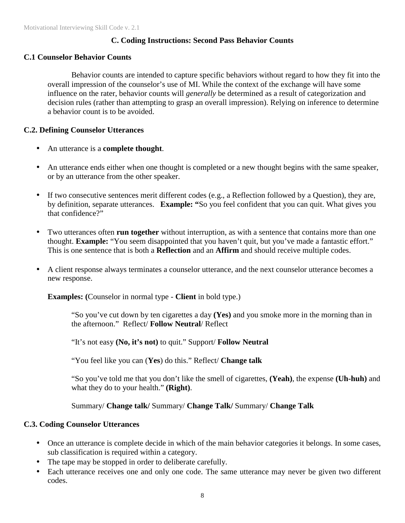#### **C. Coding Instructions: Second Pass Behavior Counts**

#### **C.1 Counselor Behavior Counts**

Behavior counts are intended to capture specific behaviors without regard to how they fit into the overall impression of the counselor's use of MI. While the context of the exchange will have some influence on the rater, behavior counts will *generally* be determined as a result of categorization and decision rules (rather than attempting to grasp an overall impression). Relying on inference to determine a behavior count is to be avoided.

#### **C.2. Defining Counselor Utterances**

- An utterance is a **complete thought**.
- An utterance ends either when one thought is completed or a new thought begins with the same speaker, or by an utterance from the other speaker.
- If two consecutive sentences merit different codes (e.g., a Reflection followed by a Question), they are, by definition, separate utterances. **Example: "**So you feel confident that you can quit. What gives you that confidence?"
- Two utterances often **run together** without interruption, as with a sentence that contains more than one thought. **Example:** "You seem disappointed that you haven't quit, but you've made a fantastic effort." This is one sentence that is both a **Reflection** and an **Affirm** and should receive multiple codes.
- A client response always terminates a counselor utterance, and the next counselor utterance becomes a new response.

**Examples: (**Counselor in normal type - **Client** in bold type.)

"So you've cut down by ten cigarettes a day **(Yes)** and you smoke more in the morning than in the afternoon." Reflect/ **Follow Neutral**/ Reflect

"It's not easy **(No, it's not)** to quit." Support/ **Follow Neutral** 

"You feel like you can (**Yes**) do this." Reflect/ **Change talk** 

"So you've told me that you don't like the smell of cigarettes, **(Yeah)**, the expense **(Uh-huh)** and what they do to your health." **(Right)**.

Summary/ **Change talk/** Summary/ **Change Talk/** Summary/ **Change Talk**

#### **C.3. Coding Counselor Utterances**

- Once an utterance is complete decide in which of the main behavior categories it belongs. In some cases, sub classification is required within a category.
- The tape may be stopped in order to deliberate carefully.
- Each utterance receives one and only one code. The same utterance may never be given two different codes.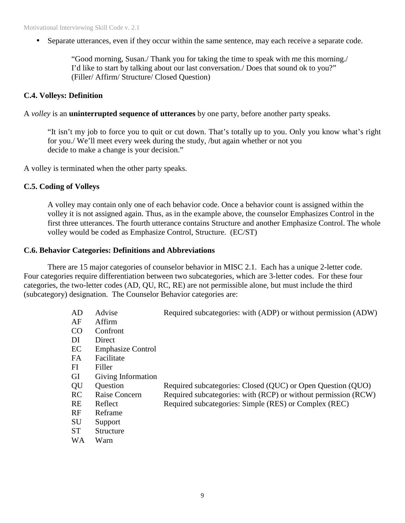• Separate utterances, even if they occur within the same sentence, may each receive a separate code.

"Good morning, Susan./ Thank you for taking the time to speak with me this morning./ I'd like to start by talking about our last conversation./ Does that sound ok to you?" (Filler/ Affirm/ Structure/ Closed Question)

#### **C.4. Volleys: Definition**

A *volley* is an **uninterrupted sequence of utterances** by one party, before another party speaks.

"It isn't my job to force you to quit or cut down. That's totally up to you. Only you know what's right for you./ We'll meet every week during the study, /but again whether or not you decide to make a change is your decision."

A volley is terminated when the other party speaks.

#### **C.5. Coding of Volleys**

A volley may contain only one of each behavior code. Once a behavior count is assigned within the volley it is not assigned again. Thus, as in the example above, the counselor Emphasizes Control in the first three utterances. The fourth utterance contains Structure and another Emphasize Control. The whole volley would be coded as Emphasize Control, Structure. (EC/ST)

#### **C.6. Behavior Categories: Definitions and Abbreviations**

There are 15 major categories of counselor behavior in MISC 2.1. Each has a unique 2-letter code. Four categories require differentiation between two subcategories, which are 3-letter codes. For these four categories, the two-letter codes (AD, QU, RC, RE) are not permissible alone, but must include the third (subcategory) designation. The Counselor Behavior categories are:

| AD        | Advise                   | Required subcategories: with (ADP) or without permission (ADW) |
|-----------|--------------------------|----------------------------------------------------------------|
| AF        | Affirm                   |                                                                |
| CO        | Confront                 |                                                                |
| DI        | Direct                   |                                                                |
| EC        | <b>Emphasize Control</b> |                                                                |
| FA        | Facilitate               |                                                                |
| FI        | Filler                   |                                                                |
| <b>GI</b> | Giving Information       |                                                                |
| QU        | Question                 | Required subcategories: Closed (QUC) or Open Question (QUO)    |
| <b>RC</b> | Raise Concern            | Required subcategories: with (RCP) or without permission (RCW) |
| <b>RE</b> | Reflect                  | Required subcategories: Simple (RES) or Complex (REC)          |
| RF        | Reframe                  |                                                                |
| <b>SU</b> | Support                  |                                                                |
| <b>ST</b> | Structure                |                                                                |
| <b>WA</b> | Warn                     |                                                                |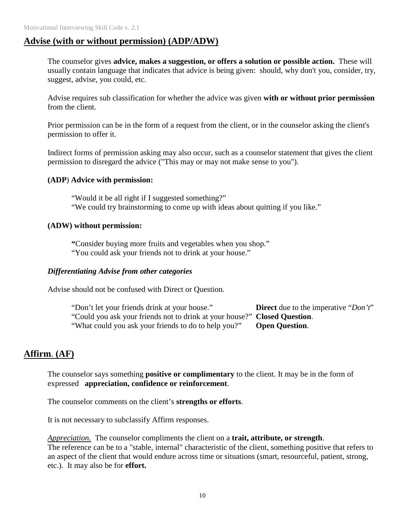## **Advise (with or without permission) (ADP/ADW)**

The counselor gives **advice, makes a suggestion, or offers a solution or possible action.** These will usually contain language that indicates that advice is being given: should, why don't you, consider, try, suggest, advise, you could, etc.

Advise requires sub classification for whether the advice was given **with or without prior permission** from the client.

Prior permission can be in the form of a request from the client, or in the counselor asking the client's permission to offer it.

Indirect forms of permission asking may also occur, such as a counselor statement that gives the client permission to disregard the advice ("This may or may not make sense to you").

#### **(ADP**) **Advice with permission:**

"Would it be all right if I suggested something?" "We could try brainstorming to come up with ideas about quitting if you like."

#### **(ADW) without permission:**

**"**Consider buying more fruits and vegetables when you shop." "You could ask your friends not to drink at your house."

#### *Differentiating Advise from other categories*

Advise should not be confused with Direct or Question.

"Don't let your friends drink at your house." **Direct** due to the imperative "*Don't*" "Could you ask your friends not to drink at your house?" **Closed Question**. "What could you ask your friends to do to help you?" **Open Question**.

## **Affirm**. **(AF)**

The counselor says something **positive or complimentary** to the client. It may be in the form of expressed **appreciation, confidence or reinforcement**.

The counselor comments on the client's **strengths or efforts**.

It is not necessary to subclassify Affirm responses.

*Appreciation.* The counselor compliments the client on a **trait, attribute, or strength**. The reference can be to a "stable, internal" characteristic of the client, something positive that refers to an aspect of the client that would endure across time or situations (smart, resourceful, patient, strong, etc.). It may also be for **effort.**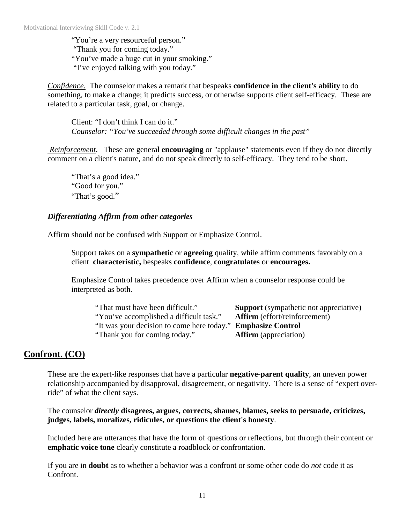"You're a very resourceful person." "Thank you for coming today." "You've made a huge cut in your smoking." "I've enjoyed talking with you today."

*Confidence*. The counselor makes a remark that bespeaks **confidence in the client's ability** to do something, to make a change; it predicts success, or otherwise supports client self-efficacy. These are related to a particular task, goal, or change.

Client: "I don't think I can do it." *Counselor: "You've succeeded through some difficult changes in the past"*

 *Reinforcement*. These are general **encouraging** or "applause" statements even if they do not directly comment on a client's nature, and do not speak directly to self-efficacy. They tend to be short.

"That's a good idea." "Good for you." "That's good."

#### *Differentiating Affirm from other categories*

Affirm should not be confused with Support or Emphasize Control.

Support takes on a **sympathetic** or **agreeing** quality, while affirm comments favorably on a client **characteristic,** bespeaks **confidence**, **congratulates** or **encourages.**

Emphasize Control takes precedence over Affirm when a counselor response could be interpreted as both.

| "That must have been difficult."                             | <b>Support</b> (sympathetic not appreciative) |
|--------------------------------------------------------------|-----------------------------------------------|
| "You've accomplished a difficult task."                      | <b>Affirm</b> (effort/reinforcement)          |
| "It was your decision to come here today." Emphasize Control |                                               |
| "Thank you for coming today."                                | <b>Affirm</b> (appreciation)                  |

## **Confront. (CO)**

These are the expert-like responses that have a particular **negative-parent quality**, an uneven power relationship accompanied by disapproval, disagreement, or negativity. There is a sense of "expert override" of what the client says.

The counselor *directly* **disagrees, argues, corrects, shames, blames, seeks to persuade, criticizes, judges, labels, moralizes, ridicules, or questions the client's honesty**.

Included here are utterances that have the form of questions or reflections, but through their content or **emphatic voice tone** clearly constitute a roadblock or confrontation.

If you are in **doubt** as to whether a behavior was a confront or some other code do *not* code it as Confront.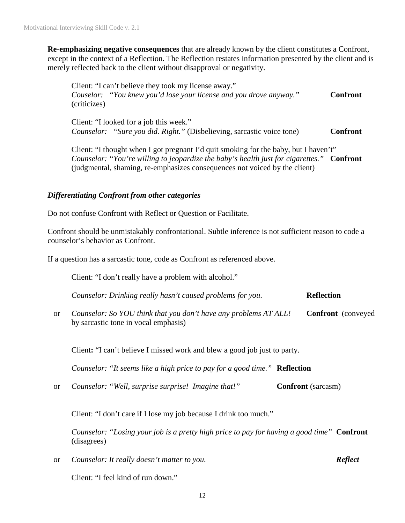**Re-emphasizing negative consequences** that are already known by the client constitutes a Confront, except in the context of a Reflection. The Reflection restates information presented by the client and is merely reflected back to the client without disapproval or negativity.

Client: "I can't believe they took my license away." *Couselor:* "You knew you'd lose your license and you drove anyway." **Confront** (criticizes)

Client: "I looked for a job this week." *Counselor: "Sure you did. Right."* (Disbelieving, sarcastic voice tone) **Confront** 

Client: "I thought when I got pregnant I'd quit smoking for the baby, but I haven't" *Counselor: "You're willing to jeopardize the baby's health just for cigarettes."* **Confront** (judgmental, shaming, re-emphasizes consequences not voiced by the client)

#### *Differentiating Confront from other categories*

Do not confuse Confront with Reflect or Question or Facilitate.

Confront should be unmistakably confrontational. Subtle inference is not sufficient reason to code a counselor's behavior as Confront.

If a question has a sarcastic tone, code as Confront as referenced above.

Client: "I don't really have a problem with alcohol."

| Counselor: Drinking really hasn't caused problems for you. | <b>Reflection</b> |
|------------------------------------------------------------|-------------------|
|------------------------------------------------------------|-------------------|

or *Counselor: So YOU think that you don't have any problems AT ALL!* **Confront** (conveyed by sarcastic tone in vocal emphasis)

Client**:** "I can't believe I missed work and blew a good job just to party.

*Counselor: "It seems like a high price to pay for a good time."* **Reflection**

or *Counselor: "Well, surprise surprise! Imagine that!"* **Confront** (sarcasm)

Client: "I don't care if I lose my job because I drink too much."

*Counselor: "Losing your job is a pretty high price to pay for having a good time"* **Confront**  (disagrees)

or *Counselor: It really doesn't matter to you. Reflect* 

Client: "I feel kind of run down."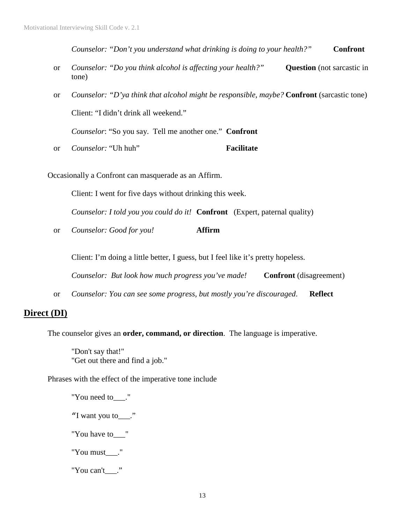*Counselor: "Don't you understand what drinking is doing to your health?"* **Confront**

- or *Counselor: "Do you think alcohol is affecting your health?"* **Question** (not sarcastic in tone)
- or *Counselor: "D'ya think that alcohol might be responsible, maybe?* **Confront** (sarcastic tone) Client: "I didn't drink all weekend."

*Counselor*: "So you say. Tell me another one." **Confront**

or *Counselor:* "Uh huh" **Facilitate**

Occasionally a Confront can masquerade as an Affirm.

Client: I went for five days without drinking this week.

*Counselor: I told you you could do it!* **Confront** (Expert, paternal quality)

or *Counselor: Good for you!* **Affirm** 

Client: I'm doing a little better, I guess, but I feel like it's pretty hopeless.

*Counselor: But look how much progress you've made!* **Confront** (disagreement)

or *Counselor: You can see some progress, but mostly you're discouraged*. **Reflect**

## **Direct (DI)**

The counselor gives an **order, command, or direction**. The language is imperative.

"Don't say that!" "Get out there and find a job."

Phrases with the effect of the imperative tone include

- "You need to\_\_\_." "I want you to\_\_\_."
- "You have to\_\_\_"
- "You must\_\_\_."
- "You can't "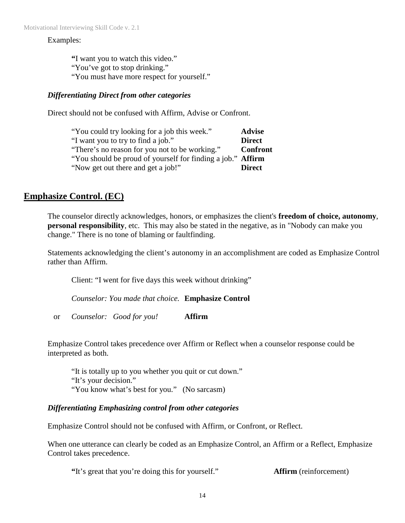#### Examples:

**"**I want you to watch this video." "You've got to stop drinking." "You must have more respect for yourself."

#### *Differentiating Direct from other categories*

Direct should not be confused with Affirm, Advise or Confront.

| "You could try looking for a job this week."                | <b>Advise</b>   |
|-------------------------------------------------------------|-----------------|
| "I want you to try to find a job."                          | <b>Direct</b>   |
| "There's no reason for you not to be working."              | <b>Confront</b> |
| "You should be proud of yourself for finding a job." Affirm |                 |
| "Now get out there and get a job!"                          | <b>Direct</b>   |

## **Emphasize Control. (EC)**

The counselor directly acknowledges, honors, or emphasizes the client's **freedom of choice, autonomy**, **personal responsibility**, etc. This may also be stated in the negative, as in "Nobody can make you change." There is no tone of blaming or faultfinding.

Statements acknowledging the client's autonomy in an accomplishment are coded as Emphasize Control rather than Affirm.

Client: "I went for five days this week without drinking"

*Counselor: You made that choice.* **Emphasize Control**

or *Counselor: Good for you!* **Affirm**

Emphasize Control takes precedence over Affirm or Reflect when a counselor response could be interpreted as both.

"It is totally up to you whether you quit or cut down." "It's your decision." "You know what's best for you." (No sarcasm)

#### *Differentiating Emphasizing control from other categories*

Emphasize Control should not be confused with Affirm, or Confront, or Reflect.

When one utterance can clearly be coded as an Emphasize Control, an Affirm or a Reflect, Emphasize Control takes precedence.

**"**It's great that you're doing this for yourself." **Affirm** (reinforcement)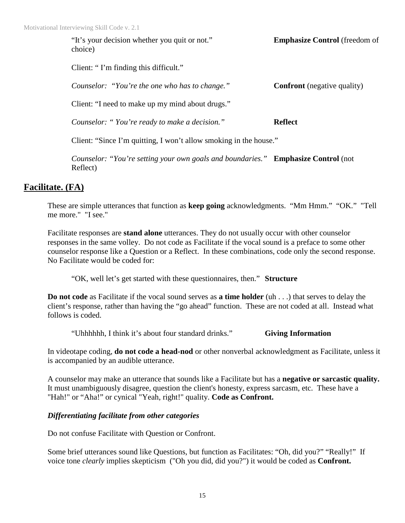"It's your decision whether you quit or not." **Emphasize Control** (freedom of choice)

Client: " I'm finding this difficult."

| Counselor: "You're the one who has to change." | <b>Confront</b> (negative quality) |
|------------------------------------------------|------------------------------------|
|                                                |                                    |

Client: "I need to make up my mind about drugs."

*Counselor: " You're ready to make a decision."* **Reflect**

Client: "Since I'm quitting, I won't allow smoking in the house."

*Counselor: "You're setting your own goals and boundaries."* **Emphasize Control** (not Reflect)

## **Facilitate. (FA)**

These are simple utterances that function as **keep going** acknowledgments. "Mm Hmm." "OK." "Tell me more." "I see."

Facilitate responses are **stand alone** utterances. They do not usually occur with other counselor responses in the same volley. Do not code as Facilitate if the vocal sound is a preface to some other counselor response like a Question or a Reflect. In these combinations, code only the second response. No Facilitate would be coded for:

"OK, well let's get started with these questionnaires, then." **Structure** 

**Do not code** as Facilitate if the vocal sound serves as **a time holder** (uh . . .) that serves to delay the client's response, rather than having the "go ahead" function. These are not coded at all. Instead what follows is coded.

"Uhhhhhh, I think it's about four standard drinks." **Giving Information**

In videotape coding, **do not code a head-nod** or other nonverbal acknowledgment as Facilitate, unless it is accompanied by an audible utterance.

A counselor may make an utterance that sounds like a Facilitate but has a **negative or sarcastic quality.** It must unambiguously disagree, question the client's honesty, express sarcasm, etc. These have a "Hah!" or "Aha!" or cynical "Yeah, right!" quality. **Code as Confront.**

### *Differentiating facilitate from other categories*

Do not confuse Facilitate with Question or Confront.

Some brief utterances sound like Questions, but function as Facilitates: "Oh, did you?" "Really!" If voice tone *clearly* implies skepticism ("Oh you did, did you?") it would be coded as **Confront.**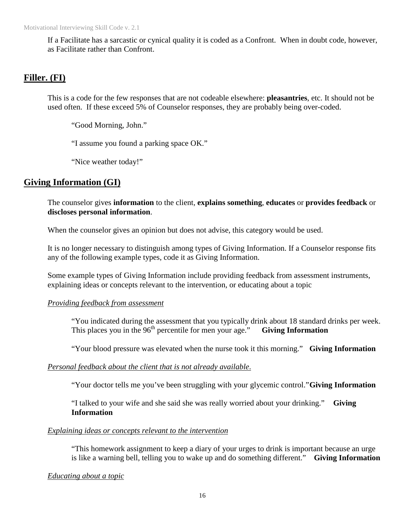If a Facilitate has a sarcastic or cynical quality it is coded as a Confront. When in doubt code, however, as Facilitate rather than Confront.

## **Filler. (FI)**

This is a code for the few responses that are not codeable elsewhere: **pleasantries**, etc. It should not be used often. If these exceed 5% of Counselor responses, they are probably being over-coded.

"Good Morning, John."

"I assume you found a parking space OK."

"Nice weather today!"

## **Giving Information (GI)**

The counselor gives **information** to the client, **explains something**, **educates** or **provides feedback** or **discloses personal information**.

When the counselor gives an opinion but does not advise, this category would be used.

It is no longer necessary to distinguish among types of Giving Information. If a Counselor response fits any of the following example types, code it as Giving Information.

Some example types of Giving Information include providing feedback from assessment instruments, explaining ideas or concepts relevant to the intervention, or educating about a topic

#### *Providing feedback from assessment*

"You indicated during the assessment that you typically drink about 18 standard drinks per week. This places you in the  $96<sup>th</sup>$  percentile for men your age." **Giving Information** 

"Your blood pressure was elevated when the nurse took it this morning." **Giving Information**

#### *Personal feedback about the client that is not already available*.

"Your doctor tells me you've been struggling with your glycemic control." **Giving Information** 

"I talked to your wife and she said she was really worried about your drinking." **Giving Information**

#### *Explaining ideas or concepts relevant to the intervention*

"This homework assignment to keep a diary of your urges to drink is important because an urge is like a warning bell, telling you to wake up and do something different." **Giving Information**

*Educating about a topic*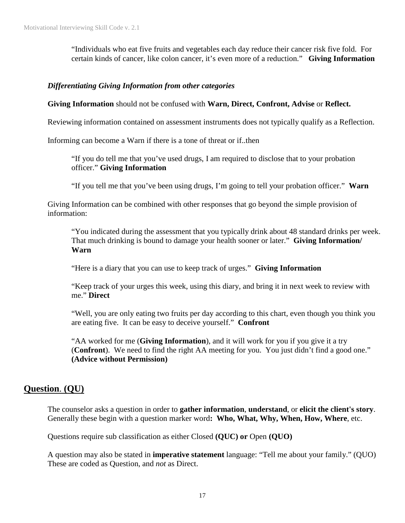"Individuals who eat five fruits and vegetables each day reduce their cancer risk five fold. For certain kinds of cancer, like colon cancer, it's even more of a reduction." **Giving Information**

#### *Differentiating Giving Information from other categories*

**Giving Information** should not be confused with **Warn, Direct, Confront, Advise** or **Reflect.** 

Reviewing information contained on assessment instruments does not typically qualify as a Reflection.

Informing can become a Warn if there is a tone of threat or if..then

"If you do tell me that you've used drugs, I am required to disclose that to your probation officer." **Giving Information** 

"If you tell me that you've been using drugs, I'm going to tell your probation officer." **Warn** 

Giving Information can be combined with other responses that go beyond the simple provision of information:

"You indicated during the assessment that you typically drink about 48 standard drinks per week. That much drinking is bound to damage your health sooner or later." **Giving Information/ Warn** 

"Here is a diary that you can use to keep track of urges." **Giving Information**

"Keep track of your urges this week, using this diary, and bring it in next week to review with me." **Direct**

"Well, you are only eating two fruits per day according to this chart, even though you think you are eating five. It can be easy to deceive yourself." **Confront**

"AA worked for me (**Giving Information**), and it will work for you if you give it a try (**Confront**). We need to find the right AA meeting for you. You just didn't find a good one." **(Advice without Permission)**

### **Question**. **(QU)**

The counselor asks a question in order to **gather information**, **understand**, or **elicit the client's story**. Generally these begin with a question marker word**: Who, What, Why, When, How, Where**, etc.

Questions require sub classification as either Closed **(QUC) or** Open **(QUO)**

A question may also be stated in **imperative statement** language: "Tell me about your family." (QUO) These are coded as Question, and *not* as Direct.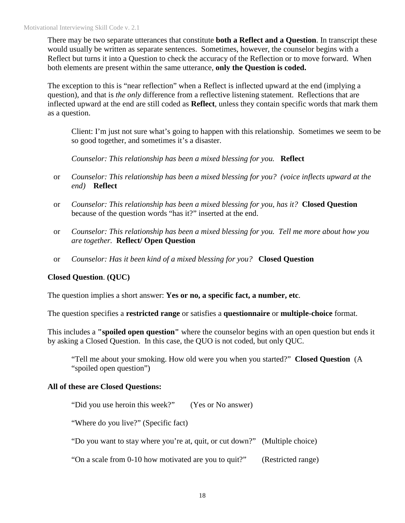There may be two separate utterances that constitute **both a Reflect and a Question**. In transcript these would usually be written as separate sentences. Sometimes, however, the counselor begins with a Reflect but turns it into a Question to check the accuracy of the Reflection or to move forward. When both elements are present within the same utterance, **only the Question is coded.**

The exception to this is "near reflection" when a Reflect is inflected upward at the end (implying a question), and that is *the only* difference from a reflective listening statement. Reflections that are inflected upward at the end are still coded as **Reflect**, unless they contain specific words that mark them as a question.

Client: I'm just not sure what's going to happen with this relationship. Sometimes we seem to be so good together, and sometimes it's a disaster.

*Counselor: This relationship has been a mixed blessing for you.* **Reflect** 

- or *Counselor: This relationship has been a mixed blessing for you? (voice inflects upward at the end)* **Reflect**
- or *Counselor: This relationship has been a mixed blessing for you, has it?* **Closed Question**  because of the question words "has it?" inserted at the end.
- or *Counselor: This relationship has been a mixed blessing for you. Tell me more about how you are together.* **Reflect/ Open Question**
- or *Counselor: Has it been kind of a mixed blessing for you?* **Closed Question**

### **Closed Question**. **(QUC)**

The question implies a short answer: **Yes or no, a specific fact, a number, etc**.

The question specifies a **restricted range** or satisfies a **questionnaire** or **multiple-choice** format.

This includes a **"spoiled open question"** where the counselor begins with an open question but ends it by asking a Closed Question. In this case, the QUO is not coded, but only QUC.

"Tell me about your smoking. How old were you when you started?" **Closed Question** (A "spoiled open question")

#### **All of these are Closed Questions:**

"Did you use heroin this week?" (Yes or No answer)

"Where do you live?" (Specific fact)

"Do you want to stay where you're at, quit, or cut down?" (Multiple choice)

"On a scale from 0-10 how motivated are you to quit?" (Restricted range)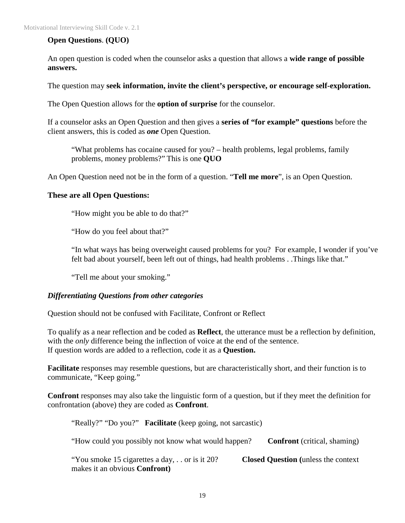#### **Open Questions**. **(QUO)**

An open question is coded when the counselor asks a question that allows a **wide range of possible answers.**

The question may **seek information, invite the client's perspective, or encourage self-exploration.** 

The Open Question allows for the **option of surprise** for the counselor.

If a counselor asks an Open Question and then gives a **series of "for example" questions** before the client answers, this is coded as *one* Open Question.

"What problems has cocaine caused for you? – health problems, legal problems, family problems, money problems?" This is one **QUO**

An Open Question need not be in the form of a question. "**Tell me more**", is an Open Question.

#### **These are all Open Questions:**

"How might you be able to do that?"

"How do you feel about that?"

"In what ways has being overweight caused problems for you? For example, I wonder if you've felt bad about yourself, been left out of things, had health problems . .Things like that."

"Tell me about your smoking."

#### *Differentiating Questions from other categories*

Question should not be confused with Facilitate, Confront or Reflect

To qualify as a near reflection and be coded as **Reflect**, the utterance must be a reflection by definition, with the *only* difference being the inflection of voice at the end of the sentence. If question words are added to a reflection, code it as a **Question.** 

**Facilitate** responses may resemble questions, but are characteristically short, and their function is to communicate, "Keep going."

**Confront** responses may also take the linguistic form of a question, but if they meet the definition for confrontation (above) they are coded as **Confront**.

"Really?" "Do you?" **Facilitate** (keep going, not sarcastic) "How could you possibly not know what would happen? **Confront** (critical, shaming) "You smoke 15 cigarettes a day, . . or is it 20? **Closed Question (**unless the context makes it an obvious **Confront)**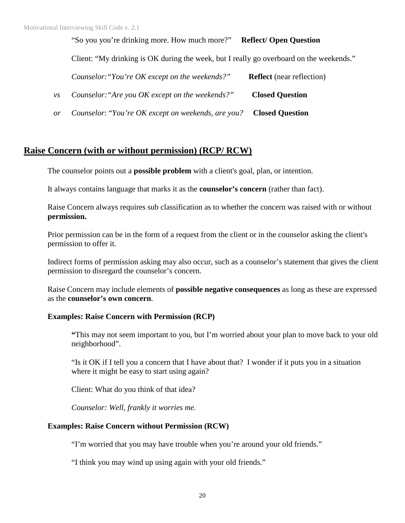#### "So you you're drinking more. How much more?" **Reflect/ Open Question**

Client: "My drinking is OK during the week, but I really go overboard on the weekends."

|                          | Counselor: "You're OK except on the weekends?"                     | <b>Reflect</b> (near reflection) |
|--------------------------|--------------------------------------------------------------------|----------------------------------|
| $\mathcal{V}\mathcal{S}$ | Counselor: "Are you OK except on the weekends?"                    | <b>Closed Question</b>           |
| or                       | Counselor: "You're OK except on weekends, are you? Closed Question |                                  |

**Raise Concern (with or without permission) (RCP/ RCW)**

The counselor points out a **possible problem** with a client's goal, plan, or intention.

It always contains language that marks it as the **counselor's concern** (rather than fact).

Raise Concern always requires sub classification as to whether the concern was raised with or without **permission.**

Prior permission can be in the form of a request from the client or in the counselor asking the client's permission to offer it.

Indirect forms of permission asking may also occur, such as a counselor's statement that gives the client permission to disregard the counselor's concern.

Raise Concern may include elements of **possible negative consequences** as long as these are expressed as the **counselor's own concern**.

#### **Examples: Raise Concern with Permission (RCP)**

**"**This may not seem important to you, but I'm worried about your plan to move back to your old neighborhood".

"Is it OK if I tell you a concern that I have about that? I wonder if it puts you in a situation where it might be easy to start using again?

Client: What do you think of that idea?

*Counselor: Well, frankly it worries me.*

#### **Examples: Raise Concern without Permission (RCW)**

"I'm worried that you may have trouble when you're around your old friends."

"I think you may wind up using again with your old friends."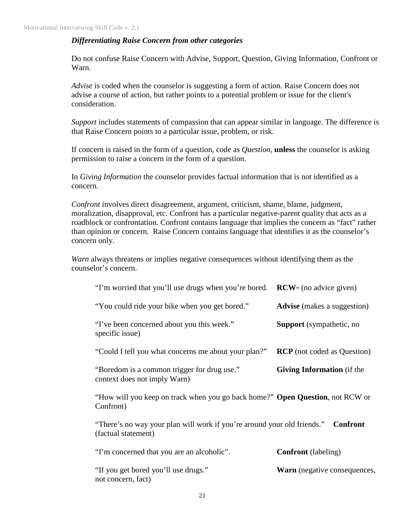#### *Differentiating Raise Concern from other categories*

Do not confuse Raise Concern with Advise, Support, Question, Giving Information, Confront or Warn.

*Advise* is coded when the counselor is suggesting a form of action. Raise Concern does not advise a course of action, but rather points to a potential problem or issue for the client's consideration.

*Support* includes statements of compassion that can appear similar in language. The difference is that Raise Concern points to a particular issue, problem, or risk.

If concern is raised in the form of a question, code as *Question*, **unless** the counselor is asking permission to raise a concern in the form of a question.

In *Giving Information* the counselor provides factual information that is not identified as a concern.

*Confront* involves direct disagreement, argument, criticism, shame, blame, judgment, moralization, disapproval, etc. Confront has a particular negative-parent quality that acts as a roadblock or confrontation. Confront contains language that implies the concern as "fact" rather than opinion or concern. Raise Concern contains language that identifies it as the counselor's concern only.

*Warn* always threatens or implies negative consequences without identifying them as the counselor's concern.

| "I'm worried that you'll use drugs when you're bored.                                          | <b>RCW</b> - (no advice given)      |
|------------------------------------------------------------------------------------------------|-------------------------------------|
| "You could ride your bike when you get bored."                                                 | <b>Advise</b> (makes a suggestion)  |
| "I've been concerned about you this week."<br>specific issue)                                  | <b>Support</b> (sympathetic, no     |
| "Could I tell you what concerns me about your plan?"                                           | <b>RCP</b> (not coded as Question)  |
| "Boredom is a common trigger for drug use."<br>context does not imply Warn)                    | <b>Giving Information</b> (if the   |
| "How will you keep on track when you go back home?" Open Question, not RCW or<br>Confront)     |                                     |
| "There's no way your plan will work if you're around your old friends."<br>(factual statement) | <b>Confront</b>                     |
| "I'm concerned that you are an alcoholic".                                                     | <b>Confront</b> (labeling)          |
| "If you get bored you'll use drugs."<br>not concern, fact)                                     | <b>Warn</b> (negative consequences, |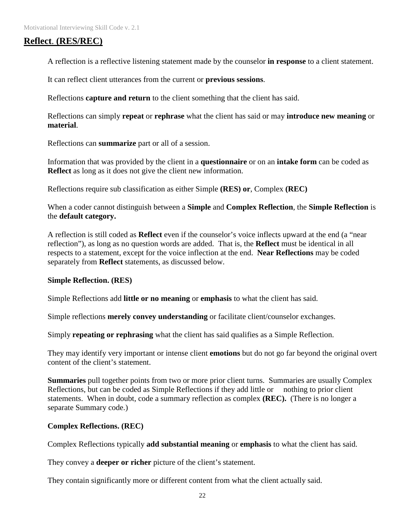## **Reflect**. **(RES/REC)**

A reflection is a reflective listening statement made by the counselor **in response** to a client statement.

It can reflect client utterances from the current or **previous sessions**.

Reflections **capture and return** to the client something that the client has said.

Reflections can simply **repeat** or **rephrase** what the client has said or may **introduce new meaning** or **material**.

Reflections can **summarize** part or all of a session.

Information that was provided by the client in a **questionnaire** or on an **intake form** can be coded as **Reflect** as long as it does not give the client new information.

Reflections require sub classification as either Simple **(RES) or**, Complex **(REC)** 

When a coder cannot distinguish between a **Simple** and **Complex Reflection**, the **Simple Reflection** is the **default category.** 

A reflection is still coded as **Reflect** even if the counselor's voice inflects upward at the end (a "near reflection"), as long as no question words are added. That is, the **Reflect** must be identical in all respects to a statement, except for the voice inflection at the end. **Near Reflections** may be coded separately from **Reflect** statements, as discussed below.

#### **Simple Reflection. (RES)**

Simple Reflections add **little or no meaning** or **emphasis** to what the client has said.

Simple reflections **merely convey understanding** or facilitate client/counselor exchanges.

Simply **repeating or rephrasing** what the client has said qualifies as a Simple Reflection.

They may identify very important or intense client **emotions** but do not go far beyond the original overt content of the client's statement.

**Summaries** pull together points from two or more prior client turns. Summaries are usually Complex Reflections, but can be coded as Simple Reflections if they add little or nothing to prior client statements. When in doubt, code a summary reflection as complex **(REC).** (There is no longer a separate Summary code.)

#### **Complex Reflections. (REC)**

Complex Reflections typically **add substantial meaning** or **emphasis** to what the client has said.

They convey a **deeper or richer** picture of the client's statement.

They contain significantly more or different content from what the client actually said.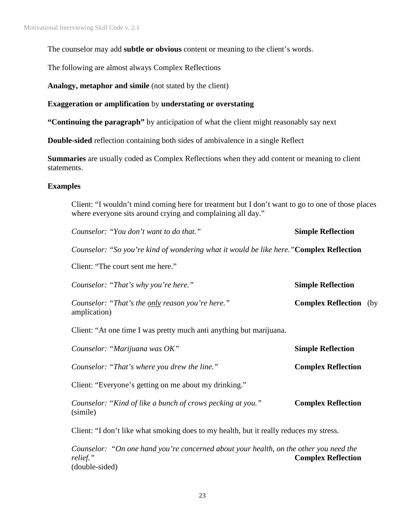The counselor may add **subtle or obvious** content or meaning to the client's words.

The following are almost always Complex Reflections

**Analogy, metaphor and simile** (not stated by the client)

#### **Exaggeration or amplification** by **understating or overstating**

**"Continuing the paragraph"** by anticipation of what the client might reasonably say next

**Double-sided** reflection containing both sides of ambivalence in a single Reflect

**Summaries** are usually coded as Complex Reflections when they add content or meaning to client statements.

#### **Examples**

Client: "I wouldn't mind coming here for treatment but I don't want to go to one of those places where everyone sits around crying and complaining all day."

*Counselor: "You don't want to do that."* **Simple Reflection** 

*Counselor: "So you're kind of wondering what it would be like here."***Complex Reflection** 

Client: "The court sent me here."

| Counselor: "That's why you're here."                                    | <b>Simple Reflection</b>      |  |
|-------------------------------------------------------------------------|-------------------------------|--|
| Counselor: "That's the <u>only</u> reason you're here."<br>amplication) | <b>Complex Reflection</b> (by |  |

Client: "At one time I was pretty much anti anything but marijuana.

| Counselor: "Marijuana was OK"                                          | <b>Simple Reflection</b>  |
|------------------------------------------------------------------------|---------------------------|
| Counselor: "That's where you drew the line."                           | <b>Complex Reflection</b> |
| Client: "Everyone's getting on me about my drinking."                  |                           |
| Counselor: "Kind of like a bunch of crows pecking at you."<br>(simile) | <b>Complex Reflection</b> |

Client: "I don't like what smoking does to my health, but it really reduces my stress.

*Counselor: "On one hand you're concerned about your health, on the other you need the relief."* **Complex Reflection** (double-sided)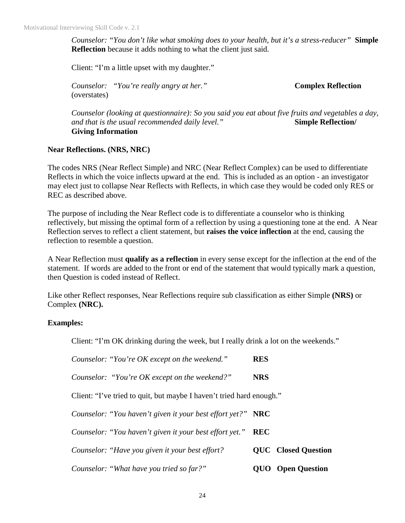*Counselor: "You don't like what smoking does to your health, but it's a stress-reducer"* **Simple Reflection** because it adds nothing to what the client just said.

Client: "I'm a little upset with my daughter."

*Counselor: "You're really angry at her."* **Complex Reflection** (overstates)

*Counselor (looking at questionnaire): So you said you eat about five fruits and vegetables a day, and that is the usual recommended daily level."* **Simple Reflection/ Giving Information** 

#### **Near Reflections. (NRS, NRC)**

The codes NRS (Near Reflect Simple) and NRC (Near Reflect Complex) can be used to differentiate Reflects in which the voice inflects upward at the end. This is included as an option - an investigator may elect just to collapse Near Reflects with Reflects, in which case they would be coded only RES or REC as described above.

The purpose of including the Near Reflect code is to differentiate a counselor who is thinking reflectively, but missing the optimal form of a reflection by using a questioning tone at the end. A Near Reflection serves to reflect a client statement, but **raises the voice inflection** at the end, causing the reflection to resemble a question.

A Near Reflection must **qualify as a reflection** in every sense except for the inflection at the end of the statement. If words are added to the front or end of the statement that would typically mark a question, then Question is coded instead of Reflect.

Like other Reflect responses, Near Reflections require sub classification as either Simple **(NRS)** or Complex **(NRC).** 

#### **Examples:**

Client: "I'm OK drinking during the week, but I really drink a lot on the weekends."

| Counselor: "You're OK except on the weekend."                        | <b>RES</b>                 |
|----------------------------------------------------------------------|----------------------------|
| Counselor: "You're OK except on the weekend?"                        | <b>NRS</b>                 |
| Client: "I've tried to quit, but maybe I haven't tried hard enough." |                            |
| Counselor: "You haven't given it your best effort yet?" NRC          |                            |
| Counselor: "You haven't given it your best effort yet."              | <b>REC</b>                 |
| Counselor: "Have you given it your best effort?                      | <b>QUC</b> Closed Question |
| Counselor: "What have you tried so far?"                             | <b>Open Question</b>       |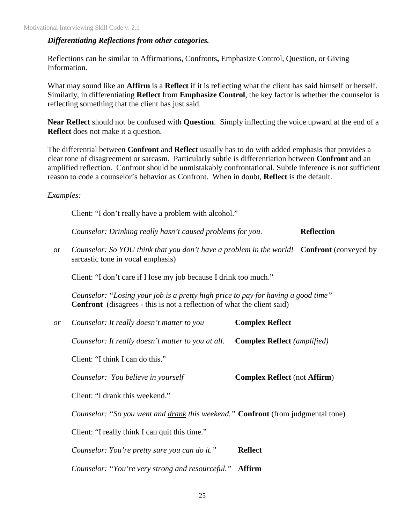#### *Differentiating Reflections from other categories.*

Reflections can be similar to Affirmations, Confronts**,** Emphasize Control, Question, or Giving Information.

What may sound like an **Affirm** is a **Reflect** if it is reflecting what the client has said himself or herself. Similarly, in differentiating **Reflect** from **Emphasize Control**, the key factor is whether the counselor is reflecting something that the client has just said.

**Near Reflect** should not be confused with **Question**. Simply inflecting the voice upward at the end of a **Reflect** does not make it a question.

The differential between **Confront** and **Reflect** usually has to do with added emphasis that provides a clear tone of disagreement or sarcasm. Particularly subtle is differentiation between **Confront** and an amplified reflection. Confront should be unmistakably confrontational. Subtle inference is not sufficient reason to code a counselor's behavior as Confront. When in doubt, **Reflect** is the default.

*Examples:* 

Client: "I don't really have a problem with alcohol."

*Counselor: Drinking really hasn't caused problems for you.* **Reflection** 

or *Counselor: So YOU think that you don't have a problem in the world!* **Confront** (conveyed by sarcastic tone in vocal emphasis)

Client: "I don't care if I lose my job because I drink too much."

*Counselor: "Losing your job is a pretty high price to pay for having a good time"* **Confront** (disagrees - this is not a reflection of what the client said)

| or | Counselor: It really doesn't matter to you                                       | <b>Complex Reflect</b>              |
|----|----------------------------------------------------------------------------------|-------------------------------------|
|    | Counselor: It really doesn't matter to you at all.                               | <b>Complex Reflect</b> (amplified)  |
|    | Client: "I think I can do this."                                                 |                                     |
|    | Counselor: You believe in yourself                                               | <b>Complex Reflect</b> (not Affirm) |
|    | Client: "I drank this weekend."                                                  |                                     |
|    | Counselor: "So you went and drank this weekend." Confront (from judgmental tone) |                                     |
|    | Client: "I really think I can quit this time."                                   |                                     |
|    | Counselor: You're pretty sure you can do it."                                    | <b>Reflect</b>                      |
|    | Counselor: "You're very strong and resourceful."                                 | Affirm                              |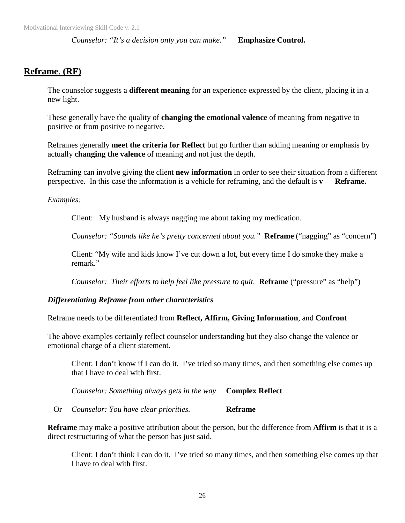*Counselor: "It's a decision only you can make."* **Emphasize Control.**

## **Reframe**. **(RF)**

The counselor suggests a **different meaning** for an experience expressed by the client, placing it in a new light.

These generally have the quality of **changing the emotional valence** of meaning from negative to positive or from positive to negative.

Reframes generally **meet the criteria for Reflect** but go further than adding meaning or emphasis by actually **changing the valence** of meaning and not just the depth.

Reframing can involve giving the client **new information** in order to see their situation from a different perspective. In this case the information is a vehicle for reframing, and the default is **v Reframe.**

*Examples:* 

Client: My husband is always nagging me about taking my medication.

*Counselor: "Sounds like he's pretty concerned about you."* **Reframe** ("nagging" as "concern")

Client: "My wife and kids know I've cut down a lot, but every time I do smoke they make a remark."

*Counselor: Their efforts to help feel like pressure to quit.* **Reframe** ("pressure" as "help")

### *Differentiating Reframe from other characteristics*

Reframe needs to be differentiated from **Reflect, Affirm, Giving Information**, and **Confront**

The above examples certainly reflect counselor understanding but they also change the valence or emotional charge of a client statement.

Client: I don't know if I can do it. I've tried so many times, and then something else comes up that I have to deal with first.

*Counselor: Something always gets in the way* **Complex Reflect** 

Or *Counselor: You have clear priorities.* **Reframe**

**Reframe** may make a positive attribution about the person, but the difference from **Affirm** is that it is a direct restructuring of what the person has just said.

Client: I don't think I can do it. I've tried so many times, and then something else comes up that I have to deal with first.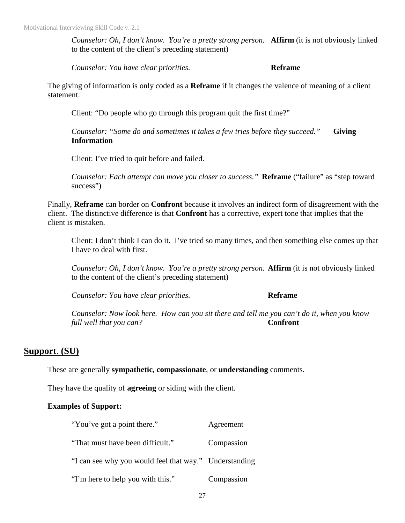*Counselor: Oh, I don't know. You're a pretty strong person.* **Affirm** (it is not obviously linked to the content of the client's preceding statement)

*Counselor: You have clear priorities.* **Reframe**

The giving of information is only coded as a **Reframe** if it changes the valence of meaning of a client statement.

Client: "Do people who go through this program quit the first time?"

*Counselor: "Some do and sometimes it takes a few tries before they succeed."* **Giving Information** 

Client: I've tried to quit before and failed.

*Counselor: Each attempt can move you closer to success."* **Reframe** ("failure" as "step toward success")

Finally, **Reframe** can border on **Confront** because it involves an indirect form of disagreement with the client. The distinctive difference is that **Confront** has a corrective, expert tone that implies that the client is mistaken.

Client: I don't think I can do it. I've tried so many times, and then something else comes up that I have to deal with first.

*Counselor: Oh, I don't know. You're a pretty strong person.* **Affirm** (it is not obviously linked to the content of the client's preceding statement)

*Counselor: You have clear priorities.* **Reframe**

*Counselor: Now look here. How can you sit there and tell me you can't do it, when you know full well that you can?* **Confront** 

### **Support**. **(SU)**

These are generally **sympathetic, compassionate**, or **understanding** comments.

They have the quality of **agreeing** or siding with the client.

#### **Examples of Support:**

| "You've got a point there."                            | Agreement  |
|--------------------------------------------------------|------------|
| "That must have been difficult."                       | Compassion |
| "I can see why you would feel that way." Understanding |            |
| "I'm here to help you with this."                      | Compassion |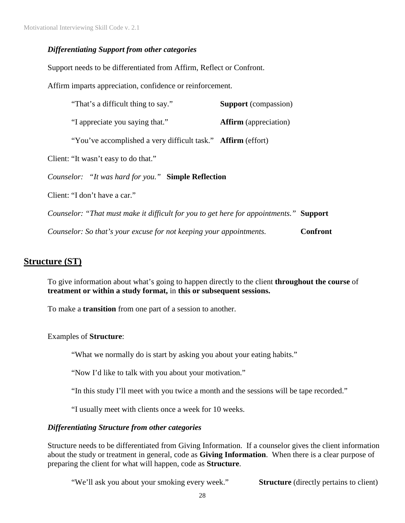#### *Differentiating Support from other categories*

Support needs to be differentiated from Affirm, Reflect or Confront.

Affirm imparts appreciation, confidence or reinforcement.

| "That's a difficult thing to say."                                                     | <b>Support</b> (compassion)  |                 |
|----------------------------------------------------------------------------------------|------------------------------|-----------------|
| "I appreciate you saying that."                                                        | <b>Affirm</b> (appreciation) |                 |
| "You've accomplished a very difficult task." Affirm (effort)                           |                              |                 |
| Client: "It wasn't easy to do that."                                                   |                              |                 |
| Counselor: "It was hard for you." Simple Reflection                                    |                              |                 |
| Client: "I don't have a car."                                                          |                              |                 |
| Counselor: "That must make it difficult for you to get here for appointments." Support |                              |                 |
| Counselor: So that's your excuse for not keeping your appointments.                    |                              | <b>Confront</b> |

## **Structure (ST)**

To give information about what's going to happen directly to the client **throughout the course** of **treatment or within a study format,** in **this or subsequent sessions.** 

To make a **transition** from one part of a session to another.

Examples of **Structure**:

"What we normally do is start by asking you about your eating habits."

"Now I'd like to talk with you about your motivation."

"In this study I'll meet with you twice a month and the sessions will be tape recorded."

"I usually meet with clients once a week for 10 weeks.

#### *Differentiating Structure from other categories*

Structure needs to be differentiated from Giving Information. If a counselor gives the client information about the study or treatment in general, code as **Giving Information**. When there is a clear purpose of preparing the client for what will happen, code as **Structure**.

"We'll ask you about your smoking every week." **Structure** (directly pertains to client)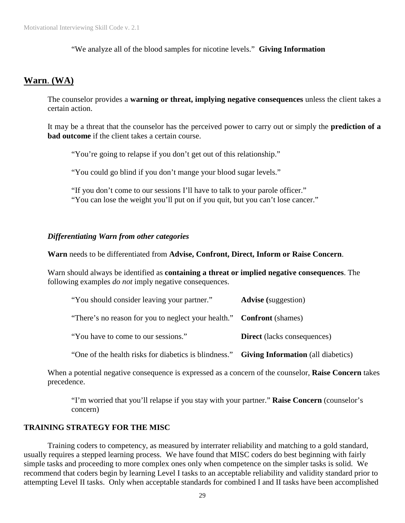"We analyze all of the blood samples for nicotine levels." **Giving Information**

## **Warn**. **(WA)**

The counselor provides a **warning or threat, implying negative consequences** unless the client takes a certain action.

It may be a threat that the counselor has the perceived power to carry out or simply the **prediction of a bad outcome** if the client takes a certain course.

"You're going to relapse if you don't get out of this relationship."

"You could go blind if you don't mange your blood sugar levels."

"If you don't come to our sessions I'll have to talk to your parole officer." "You can lose the weight you'll put on if you quit, but you can't lose cancer."

#### *Differentiating Warn from other categories*

**Warn** needs to be differentiated from **Advise, Confront, Direct, Inform or Raise Concern**.

Warn should always be identified as **containing a threat or implied negative consequences**. The following examples *do not* imply negative consequences.

| "You should consider leaving your partner."                                              | <b>Advise</b> (suggestion)         |
|------------------------------------------------------------------------------------------|------------------------------------|
| "There's no reason for you to neglect your health." Confront (shames)                    |                                    |
| "You have to come to our sessions."                                                      | <b>Direct</b> (lacks consequences) |
| "One of the health risks for diabetics is blindness." Giving Information (all diabetics) |                                    |

When a potential negative consequence is expressed as a concern of the counselor, **Raise Concern** takes precedence.

"I'm worried that you'll relapse if you stay with your partner." **Raise Concern** (counselor's concern)

#### **TRAINING STRATEGY FOR THE MISC**

Training coders to competency, as measured by interrater reliability and matching to a gold standard, usually requires a stepped learning process. We have found that MISC coders do best beginning with fairly simple tasks and proceeding to more complex ones only when competence on the simpler tasks is solid. We recommend that coders begin by learning Level I tasks to an acceptable reliability and validity standard prior to attempting Level II tasks. Only when acceptable standards for combined I and II tasks have been accomplished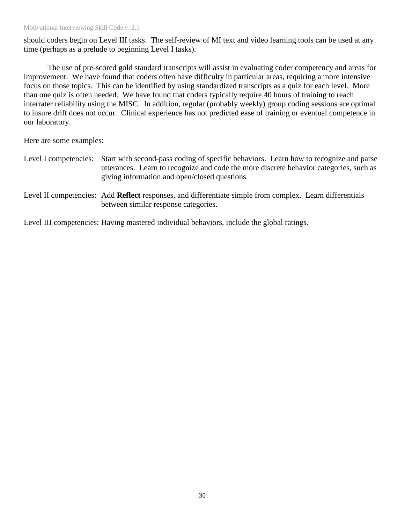should coders begin on Level III tasks. The self-review of MI text and video learning tools can be used at any time (perhaps as a prelude to beginning Level I tasks).

The use of pre-scored gold standard transcripts will assist in evaluating coder competency and areas for improvement. We have found that coders often have difficulty in particular areas, requiring a more intensive focus on those topics. This can be identified by using standardized transcripts as a quiz for each level. More than one quiz is often needed. We have found that coders typically require 40 hours of training to reach interrater reliability using the MISC. In addition, regular (probably weekly) group coding sessions are optimal to insure drift does not occur. Clinical experience has not predicted ease of training or eventual competence in our laboratory.

Here are some examples:

- Level I competencies: Start with second-pass coding of specific behaviors. Learn how to recognize and parse utterances. Learn to recognize and code the more discrete behavior categories, such as giving information and open/closed questions
- Level II competencies: Add **Reflect** responses, and differentiate simple from complex. Learn differentials between similar response categories.

Level III competencies: Having mastered individual behaviors, include the global ratings.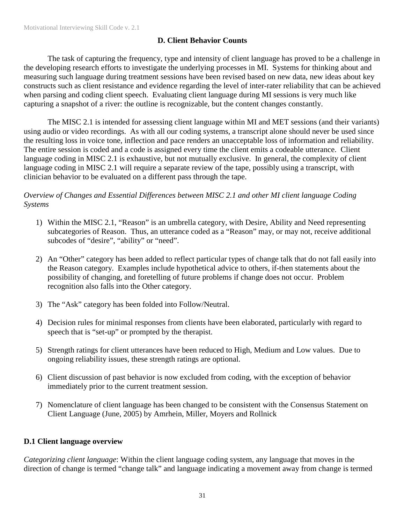## **D. Client Behavior Counts**

The task of capturing the frequency, type and intensity of client language has proved to be a challenge in the developing research efforts to investigate the underlying processes in MI. Systems for thinking about and measuring such language during treatment sessions have been revised based on new data, new ideas about key constructs such as client resistance and evidence regarding the level of inter-rater reliability that can be achieved when parsing and coding client speech. Evaluating client language during MI sessions is very much like capturing a snapshot of a river: the outline is recognizable, but the content changes constantly.

The MISC 2.1 is intended for assessing client language within MI and MET sessions (and their variants) using audio or video recordings. As with all our coding systems, a transcript alone should never be used since the resulting loss in voice tone, inflection and pace renders an unacceptable loss of information and reliability. The entire session is coded and a code is assigned every time the client emits a codeable utterance. Client language coding in MISC 2.1 is exhaustive, but not mutually exclusive. In general, the complexity of client language coding in MISC 2.1 will require a separate review of the tape, possibly using a transcript, with clinician behavior to be evaluated on a different pass through the tape.

*Overview of Changes and Essential Differences between MISC 2.1 and other MI client language Coding Systems* 

- 1) Within the MISC 2.1, "Reason" is an umbrella category, with Desire, Ability and Need representing subcategories of Reason. Thus, an utterance coded as a "Reason" may, or may not, receive additional subcodes of "desire", "ability" or "need".
- 2) An "Other" category has been added to reflect particular types of change talk that do not fall easily into the Reason category. Examples include hypothetical advice to others, if-then statements about the possibility of changing, and foretelling of future problems if change does not occur. Problem recognition also falls into the Other category.
- 3) The "Ask" category has been folded into Follow/Neutral.
- 4) Decision rules for minimal responses from clients have been elaborated, particularly with regard to speech that is "set-up" or prompted by the therapist.
- 5) Strength ratings for client utterances have been reduced to High, Medium and Low values. Due to ongoing reliability issues, these strength ratings are optional.
- 6) Client discussion of past behavior is now excluded from coding, with the exception of behavior immediately prior to the current treatment session.
- 7) Nomenclature of client language has been changed to be consistent with the Consensus Statement on Client Language (June, 2005) by Amrhein, Miller, Moyers and Rollnick

### **D.1 Client language overview**

*Categorizing client language*: Within the client language coding system, any language that moves in the direction of change is termed "change talk" and language indicating a movement away from change is termed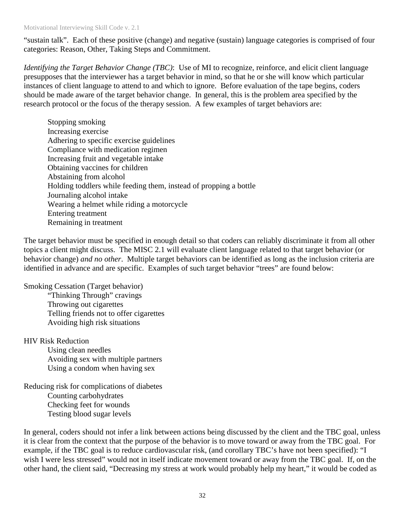"sustain talk". Each of these positive (change) and negative (sustain) language categories is comprised of four categories: Reason, Other, Taking Steps and Commitment.

*Identifying the Target Behavior Change (TBC)*: Use of MI to recognize, reinforce, and elicit client language presupposes that the interviewer has a target behavior in mind, so that he or she will know which particular instances of client language to attend to and which to ignore. Before evaluation of the tape begins, coders should be made aware of the target behavior change. In general, this is the problem area specified by the research protocol or the focus of the therapy session. A few examples of target behaviors are:

Stopping smoking Increasing exercise Adhering to specific exercise guidelines Compliance with medication regimen Increasing fruit and vegetable intake Obtaining vaccines for children Abstaining from alcohol Holding toddlers while feeding them, instead of propping a bottle Journaling alcohol intake Wearing a helmet while riding a motorcycle Entering treatment Remaining in treatment

The target behavior must be specified in enough detail so that coders can reliably discriminate it from all other topics a client might discuss. The MISC 2.1 will evaluate client language related to that target behavior (or behavior change) *and no other*. Multiple target behaviors can be identified as long as the inclusion criteria are identified in advance and are specific. Examples of such target behavior "trees" are found below:

Smoking Cessation (Target behavior)

 "Thinking Through" cravings Throwing out cigarettes Telling friends not to offer cigarettes Avoiding high risk situations

#### HIV Risk Reduction

 Using clean needles Avoiding sex with multiple partners Using a condom when having sex

Reducing risk for complications of diabetes Counting carbohydrates Checking feet for wounds Testing blood sugar levels

In general, coders should not infer a link between actions being discussed by the client and the TBC goal, unless it is clear from the context that the purpose of the behavior is to move toward or away from the TBC goal. For example, if the TBC goal is to reduce cardiovascular risk, (and corollary TBC's have not been specified): "I wish I were less stressed" would not in itself indicate movement toward or away from the TBC goal. If, on the other hand, the client said, "Decreasing my stress at work would probably help my heart," it would be coded as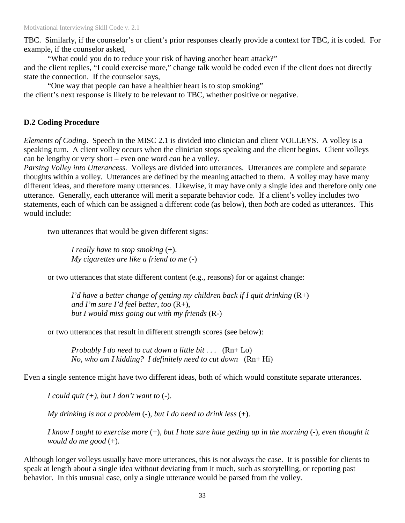TBC. Similarly, if the counselor's or client's prior responses clearly provide a context for TBC, it is coded. For example, if the counselor asked,

 "What could you do to reduce your risk of having another heart attack?" and the client replies, "I could exercise more," change talk would be coded even if the client does not directly state the connection. If the counselor says,

"One way that people can have a healthier heart is to stop smoking"

the client's next response is likely to be relevant to TBC, whether positive or negative.

#### **D.2 Coding Procedure**

*Elements of Coding*. Speech in the MISC 2.1 is divided into clinician and client VOLLEYS. A volley is a speaking turn. A client volley occurs when the clinician stops speaking and the client begins. Client volleys can be lengthy or very short – even one word *can* be a volley.

*Parsing Volley into Utterancess.* Volleys are divided into utterances. Utterances are complete and separate thoughts within a volley. Utterances are defined by the meaning attached to them. A volley may have many different ideas, and therefore many utterances. Likewise, it may have only a single idea and therefore only one utterance. Generally, each utterance will merit a separate behavior code. If a client's volley includes two statements, each of which can be assigned a different code (as below), then *both* are coded as utterances. This would include:

two utterances that would be given different signs:

 *I really have to stop smoking* (+). *My cigarettes are like a friend to me* (-)

or two utterances that state different content (e.g., reasons) for or against change:

 *I'd have a better change of getting my children back if I quit drinking* (R+) *and I'm sure I'd feel better, too* (R+), *but I would miss going out with my friends* (R-)

or two utterances that result in different strength scores (see below):

 *Probably I do need to cut down a little bit . . .* (Rn+ Lo) *No, who am I kidding? I definitely need to cut down* (Rn+ Hi)

Even a single sentence might have two different ideas, both of which would constitute separate utterances.

*I could quit (+), but I don't want to* (-).

*My drinking is not a problem* (-), *but I do need to drink less* (+).

*I know I ought to exercise more* (+), *but I hate sure hate getting up in the morning* (-), *even thought it would do me good* (+).

Although longer volleys usually have more utterances, this is not always the case. It is possible for clients to speak at length about a single idea without deviating from it much, such as storytelling, or reporting past behavior. In this unusual case, only a single utterance would be parsed from the volley.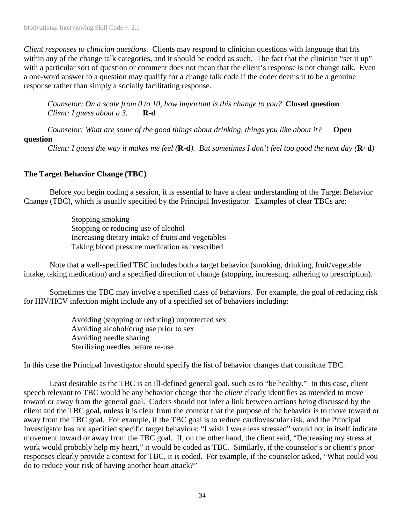*Client responses to clinician questions.* Clients may respond to clinician questions with language that fits within any of the change talk categories, and it should be coded as such. The fact that the clinician "set it up" with a particular sort of question or comment does not mean that the client's response is not change talk. Even a one-word answer to a question may qualify for a change talk code if the coder deems it to be a genuine response rather than simply a socially facilitating response.

*Counselor: On a scale from 0 to 10, how important is this change to you?* **Closed question**  *Client: I guess about a 3.* **R-d**

*Counselor: What are some of the good things about drinking, things you like about it?* **Open question** 

*Client: I guess the way it makes me feel (***R-d***). But sometimes I don't feel too good the next day (***R+d***)* 

#### **The Target Behavior Change (TBC)**

 Before you begin coding a session, it is essential to have a clear understanding of the Target Behavior Change (TBC), which is usually specified by the Principal Investigator. Examples of clear TBCs are:

> Stopping smoking Stopping or reducing use of alcohol Increasing dietary intake of fruits and vegetables Taking blood pressure medication as prescribed

 Note that a well-specified TBC includes both a target behavior (smoking, drinking, fruit/vegetable intake, taking medication) and a specified direction of change (stopping, increasing, adhering to prescription).

 Sometimes the TBC may involve a specified class of behaviors. For example, the goal of reducing risk for HIV/HCV infection might include any of a specified set of behaviors including:

> Avoiding (stopping or reducing) unprotected sex Avoiding alcohol/drug use prior to sex Avoiding needle sharing Sterilizing needles before re-use

In this case the Principal Investigator should specify the list of behavior changes that constitute TBC.

 Least desirable as the TBC is an ill-defined general goal, such as to "be healthy." In this case, client speech relevant to TBC would be any behavior change that the *client* clearly identifies as intended to move toward or away from the general goal. Coders should not infer a link between actions being discussed by the client and the TBC goal, unless it is clear from the context that the purpose of the behavior is to move toward or away from the TBC goal. For example, if the TBC goal is to reduce cardiovascular risk, and the Principal Investigator has not specified specific target behaviors: "I wish I were less stressed" would not in itself indicate movement toward or away from the TBC goal. If, on the other hand, the client said, "Decreasing my stress at work would probably help my heart," it would be coded as TBC. Similarly, if the counselor's or client's prior responses clearly provide a context for TBC, it is coded. For example, if the counselor asked, "What could you do to reduce your risk of having another heart attack?"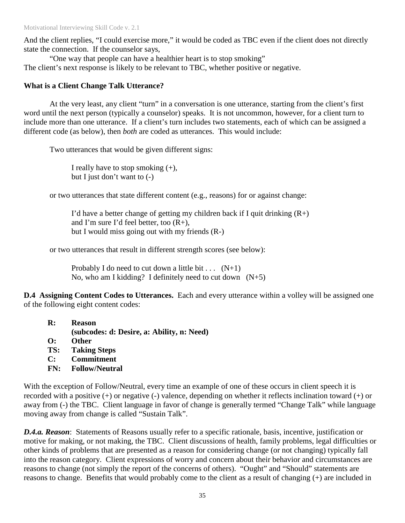And the client replies, "I could exercise more," it would be coded as TBC even if the client does not directly state the connection. If the counselor says,

 "One way that people can have a healthier heart is to stop smoking" The client's next response is likely to be relevant to TBC, whether positive or negative.

## **What is a Client Change Talk Utterance?**

 At the very least, any client "turn" in a conversation is one utterance, starting from the client's first word until the next person (typically a counselor) speaks. It is not uncommon, however, for a client turn to include more than one utterance. If a client's turn includes two statements, each of which can be assigned a different code (as below), then *both* are coded as utterances. This would include:

Two utterances that would be given different signs:

I really have to stop smoking  $(+)$ , but I just don't want to  $(-)$ 

or two utterances that state different content (e.g., reasons) for or against change:

I'd have a better change of getting my children back if I quit drinking  $(R+)$ and I'm sure I'd feel better, too  $(R+)$ , but I would miss going out with my friends (R-)

or two utterances that result in different strength scores (see below):

Probably I do need to cut down a little bit . . .  $(N+1)$ No, who am I kidding? I definitely need to cut down  $(N+5)$ 

**D.4 Assigning Content Codes to Utterances.** Each and every utterance within a volley will be assigned one of the following eight content codes:

- **R: Reason** 
	- **(subcodes: d: Desire, a: Ability, n: Need)**
- **O: Other**
- **TS: Taking Steps**
- **C: Commitment**
- **FN: Follow/Neutral**

With the exception of Follow/Neutral, every time an example of one of these occurs in client speech it is recorded with a positive (+) or negative (-) valence, depending on whether it reflects inclination toward (+) or away from (-) the TBC. Client language in favor of change is generally termed "Change Talk" while language moving away from change is called "Sustain Talk".

*D.4.a. Reason*: Statements of Reasons usually refer to a specific rationale, basis, incentive, justification or motive for making, or not making, the TBC. Client discussions of health, family problems, legal difficulties or other kinds of problems that are presented as a reason for considering change (or not changing) typically fall into the reason category. Client expressions of worry and concern about their behavior and circumstances are reasons to change (not simply the report of the concerns of others). "Ought" and "Should" statements are reasons to change. Benefits that would probably come to the client as a result of changing (+) are included in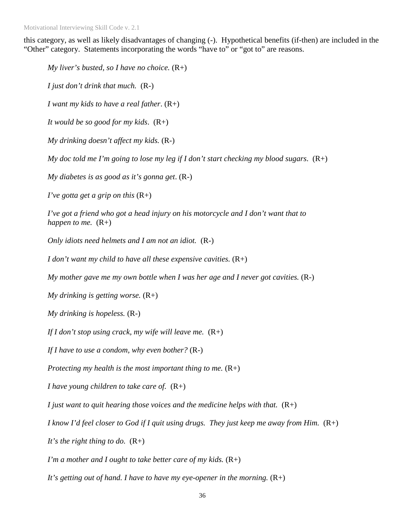this category, as well as likely disadvantages of changing (-). Hypothetical benefits (if-then) are included in the "Other" category. Statements incorporating the words "have to" or "got to" are reasons.

*My liver's busted, so I have no choice.* (R+) *I just don't drink that much.* (R-) *I want my kids to have a real father*. (R+) *It would be so good for my kids*. (R+) *My drinking doesn't affect my kids.* (R-) *My doc told me I'm going to lose my leg if I don't start checking my blood sugars*. (R+) *My diabetes is as good as it's gonna get*. (R-) *I've gotta get a grip on this* (R+) *I've got a friend who got a head injury on his motorcycle and I don't want that to happen to me.*  $(R+)$ *Only idiots need helmets and I am not an idiot.* (R-) *I don't want my child to have all these expensive cavities.* (R+) *My mother gave me my own bottle when I was her age and I never got cavities.* (R-) *My drinking is getting worse.* (R+) *My drinking is hopeless.* (R-) *If I don't stop using crack, my wife will leave me.* (R+) *If I have to use a condom, why even bother?* (R-) *Protecting my health is the most important thing to me.* (R+) *I have young children to take care of.* (R+) *I just want to quit hearing those voices and the medicine helps with that.* (R+) *I know I'd feel closer to God if I quit using drugs. They just keep me away from Him.*  $(R+)$ *It's the right thing to do.* (R+) *I'm a mother and I ought to take better care of my kids.* (R+) *It's getting out of hand. I have to have my eye-opener in the morning.* (R+)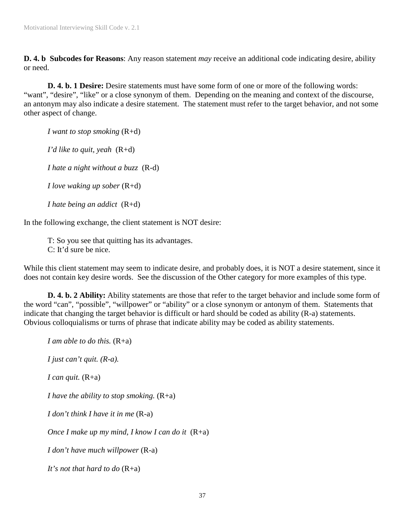**D. 4. b Subcodes for Reasons**: Any reason statement *may* receive an additional code indicating desire, ability or need.

**D. 4. b. 1 Desire:** Desire statements must have some form of one or more of the following words: "want", "desire", "like" or a close synonym of them. Depending on the meaning and context of the discourse, an antonym may also indicate a desire statement. The statement must refer to the target behavior, and not some other aspect of change.

*I want to stop smoking* (R+d)

*I'd like to quit, yeah* (R+d)

*I hate a night without a buzz* (R-d)

*I love waking up sober* (R+d)

*I hate being an addict* (R+d)

In the following exchange, the client statement is NOT desire:

T: So you see that quitting has its advantages. C: It'd sure be nice.

While this client statement may seem to indicate desire, and probably does, it is NOT a desire statement, since it does not contain key desire words. See the discussion of the Other category for more examples of this type.

**D. 4. b. 2 Ability:** Ability statements are those that refer to the target behavior and include some form of the word "can", "possible", "willpower" or "ability" or a close synonym or antonym of them. Statements that indicate that changing the target behavior is difficult or hard should be coded as ability (R-a) statements. Obvious colloquialisms or turns of phrase that indicate ability may be coded as ability statements.

*I am able to do this.* (R+a) *I just can't quit. (R-a). I can quit.* (R+a) *I have the ability to stop smoking.* (R+a) *I don't think I have it in me* (R-a) *Once I make up my mind, I know I can do it* (R+a) *I don't have much willpower* (R-a) *It's not that hard to do* (R+a)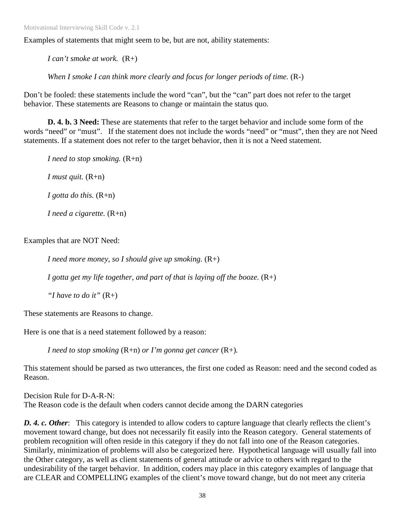Motivational Interviewing Skill Code v. 2.1

Examples of statements that might seem to be, but are not, ability statements:

*I can't smoke at work.* (R+)

*When I smoke I can think more clearly and focus for longer periods of time.* (R-)

Don't be fooled: these statements include the word "can", but the "can" part does not refer to the target behavior. These statements are Reasons to change or maintain the status quo.

**D. 4. b. 3 Need:** These are statements that refer to the target behavior and include some form of the words "need" or "must". If the statement does not include the words "need" or "must", then they are not Need statements. If a statement does not refer to the target behavior, then it is not a Need statement.

*I need to stop smoking.* (R+n) *I must quit.* (R+n) *I gotta do this.* (R+n) *I need a cigarette.* (R+n)

Examples that are NOT Need:

*I need more money, so I should give up smoking.* (R+)

*I gotta get my life together, and part of that is laying off the booze.* (R+)

*"I have to do it"* (R+)

These statements are Reasons to change.

Here is one that is a need statement followed by a reason:

*I need to stop smoking* (R+n) *or I'm gonna get cancer* (R+)*.* 

This statement should be parsed as two utterances, the first one coded as Reason: need and the second coded as Reason.

Decision Rule for D-A-R-N: The Reason code is the default when coders cannot decide among the DARN categories

*D. 4. c. Other*: This category is intended to allow coders to capture language that clearly reflects the client's movement toward change, but does not necessarily fit easily into the Reason category. General statements of problem recognition will often reside in this category if they do not fall into one of the Reason categories. Similarly, minimization of problems will also be categorized here. Hypothetical language will usually fall into the Other category, as well as client statements of general attitude or advice to others with regard to the undesirability of the target behavior. In addition, coders may place in this category examples of language that are CLEAR and COMPELLING examples of the client's move toward change, but do not meet any criteria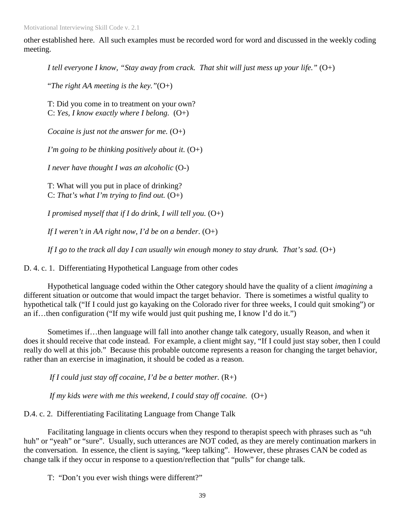Motivational Interviewing Skill Code v. 2.1

other established here. All such examples must be recorded word for word and discussed in the weekly coding meeting.

*I tell everyone I know, "Stay away from crack. That shit will just mess up your life."* (O+)

"*The right AA meeting is the key."*(O+)

T: Did you come in to treatment on your own? C: *Yes, I know exactly where I belong.* (O+)

*Cocaine is just not the answer for me.*  $(O+)$ 

*I'm going to be thinking positively about it.*  $(O+)$ 

*I never have thought I was an alcoholic* (O-)

T: What will you put in place of drinking? C: *That's what I'm trying to find out.* (O+)

*I promised myself that if I do drink, I will tell you.* (O+)

*If I weren't in AA right now, I'd be on a bender*. (O+)

*If I go to the track all day I can usually win enough money to stay drunk. That's sad.*  $(O+)$ 

D. 4. c. 1. Differentiating Hypothetical Language from other codes

Hypothetical language coded within the Other category should have the quality of a client *imagining* a different situation or outcome that would impact the target behavior. There is sometimes a wistful quality to hypothetical talk ("If I could just go kayaking on the Colorado river for three weeks, I could quit smoking") or an if…then configuration ("If my wife would just quit pushing me, I know I'd do it.")

Sometimes if…then language will fall into another change talk category, usually Reason, and when it does it should receive that code instead. For example, a client might say, "If I could just stay sober, then I could really do well at this job." Because this probable outcome represents a reason for changing the target behavior, rather than an exercise in imagination, it should be coded as a reason.

*If I could just stay off cocaine, I'd be a better mother.* (R+)

*If my kids were with me this weekend, I could stay off cocaine.* (O+)

D.4. c. 2. Differentiating Facilitating Language from Change Talk

Facilitating language in clients occurs when they respond to therapist speech with phrases such as "uh huh" or "yeah" or "sure". Usually, such utterances are NOT coded, as they are merely continuation markers in the conversation. In essence, the client is saying, "keep talking". However, these phrases CAN be coded as change talk if they occur in response to a question/reflection that "pulls" for change talk.

T: "Don't you ever wish things were different?"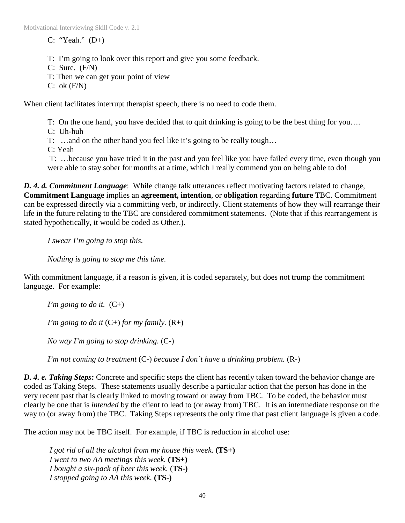$C:$  "Yeah."  $(D+)$ 

T: I'm going to look over this report and give you some feedback.

C: Sure. (F/N)

T: Then we can get your point of view

 $C: ok(F/N)$ 

When client facilitates interrupt therapist speech, there is no need to code them.

T: On the one hand, you have decided that to quit drinking is going to be the best thing for you….

C: Uh-huh

T: …and on the other hand you feel like it's going to be really tough…

C: Yeah

 T: …because you have tried it in the past and you feel like you have failed every time, even though you were able to stay sober for months at a time, which I really commend you on being able to do!

*D. 4. d. Commitment Language*: While change talk utterances reflect motivating factors related to change, **Commitment Language** implies an **agreement, intention**, or **obligation** regarding **future** TBC. Commitment can be expressed directly via a committing verb, or indirectly. Client statements of how they will rearrange their life in the future relating to the TBC are considered commitment statements. (Note that if this rearrangement is stated hypothetically, it would be coded as Other.).

*I swear I'm going to stop this.* 

*Nothing is going to stop me this time.*

With commitment language, if a reason is given, it is coded separately, but does not trump the commitment language. For example:

*I'm going to do it.*  $(C+)$ 

*I'm going to do it*  $(C+)$  *for my family.*  $(R+)$ 

*No way I'm going to stop drinking.* (C-)

*I'm not coming to treatment* (C-) *because I don't have a drinking problem.* (R-)

*D. 4. e. Taking Steps***:** Concrete and specific steps the client has recently taken toward the behavior change are coded as Taking Steps. These statements usually describe a particular action that the person has done in the very recent past that is clearly linked to moving toward or away from TBC. To be coded, the behavior must clearly be one that is *intended* by the client to lead to (or away from) TBC. It is an intermediate response on the way to (or away from) the TBC. Taking Steps represents the only time that past client language is given a code.

The action may not be TBC itself. For example, if TBC is reduction in alcohol use:

*I got rid of all the alcohol from my house this week.* **(TS+)**  *I went to two AA meetings this week.* **(TS+)**  *I bought a six-pack of beer this week.* (**TS-)**  *I stopped going to AA this week.* **(TS-)**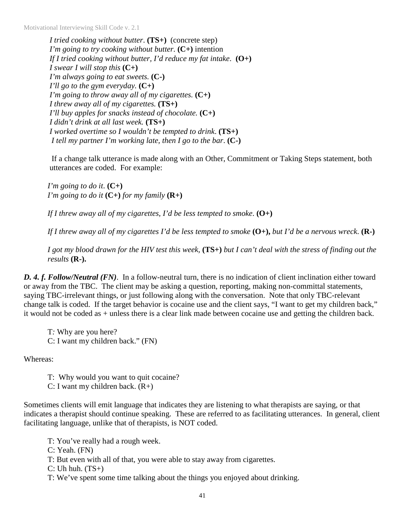Motivational Interviewing Skill Code v. 2.1

*I tried cooking without butter*. **(TS+)** (concrete step) *I'm going to try cooking without butter.* **(C+)** intention *If I tried cooking without butter, I'd reduce my fat intake*. **(O+)**  *I swear I will stop this* **(C+)** *I'm always going to eat sweets.* **(C-)** *I'll go to the gym everyday.* **(C+)** *I'm going to throw away all of my cigarettes.* **(C+)** *I threw away all of my cigarettes.* **(TS+)**  *I'll buy apples for snacks instead of chocolate.* **(C+)** *I didn't drink at all last week.* **(TS+)**  *I worked overtime so I wouldn't be tempted to drink*. **(TS+)**   *I tell my partner I'm working late, then I go to the bar*. **(C-)**

 If a change talk utterance is made along with an Other, Commitment or Taking Steps statement, both utterances are coded. For example:

*I'm going to do it*. **(C+)**  *I'm going to do it*  $(C+)$  *for my family*  $(R+)$ 

*If I threw away all of my cigarettes, I'd be less tempted to smoke*. **(O+)**

*If I threw away all of my cigarettes I'd be less tempted to smoke* **(O+),** *but I'd be a nervous wreck*. **(R-)**

*I got my blood drawn for the HIV test this week,* **(TS+)** *but I can't deal with the stress of finding out the results* **(R-).**

*D. 4. f. Follow/Neutral (FN)*. In a follow-neutral turn, there is no indication of client inclination either toward or away from the TBC. The client may be asking a question, reporting, making non-committal statements, saying TBC-irrelevant things, or just following along with the conversation. Note that only TBC-relevant change talk is coded. If the target behavior is cocaine use and the client says, "I want to get my children back," it would not be coded as + unless there is a clear link made between cocaine use and getting the children back.

T*:* Why are you here? C: I want my children back." (FN)

Whereas:

T: Why would you want to quit cocaine?

C: I want my children back.  $(R+)$ 

Sometimes clients will emit language that indicates they are listening to what therapists are saying, or that indicates a therapist should continue speaking. These are referred to as facilitating utterances. In general, client facilitating language, unlike that of therapists, is NOT coded.

T: You've really had a rough week.

C: Yeah. (FN)

T: But even with all of that, you were able to stay away from cigarettes.

 $C: Uh$  huh.  $(TS+)$ 

T: We've spent some time talking about the things you enjoyed about drinking.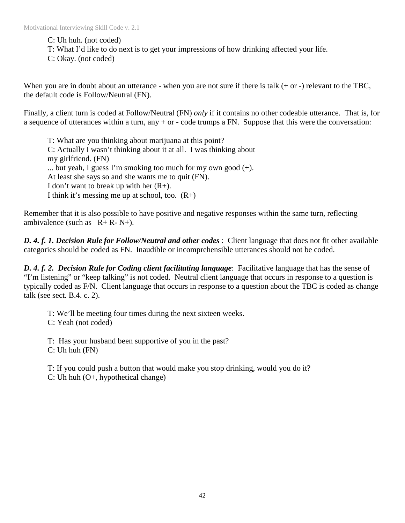C: Uh huh. (not coded)

T: What I'd like to do next is to get your impressions of how drinking affected your life.

C: Okay. (not coded)

When you are in doubt about an utterance - when you are not sure if there is talk (+ or -) relevant to the TBC, the default code is Follow/Neutral (FN).

Finally, a client turn is coded at Follow/Neutral (FN) *only* if it contains no other codeable utterance. That is, for a sequence of utterances within a turn, any + or - code trumps a FN. Suppose that this were the conversation:

T: What are you thinking about marijuana at this point? C: Actually I wasn't thinking about it at all. I was thinking about my girlfriend. (FN) ... but yeah, I guess I'm smoking too much for my own good (+). At least she says so and she wants me to quit (FN). I don't want to break up with her  $(R+)$ . I think it's messing me up at school, too.  $(R+)$ 

Remember that it is also possible to have positive and negative responses within the same turn, reflecting ambivalence (such as  $R + R - N +$ ).

*D. 4. f. 1. Decision Rule for Follow/Neutral and other codes* : Client language that does not fit other available categories should be coded as FN. Inaudible or incomprehensible utterances should not be coded.

*D. 4. f. 2. Decision Rule for Coding client facilitating language*: Facilitative language that has the sense of "I'm listening" or "keep talking" is not coded. Neutral client language that occurs in response to a question is typically coded as F/N. Client language that occurs in response to a question about the TBC is coded as change talk (see sect. B.4. c. 2).

T: We'll be meeting four times during the next sixteen weeks. C: Yeah (not coded)

T: Has your husband been supportive of you in the past?

C: Uh huh (FN)

T: If you could push a button that would make you stop drinking, would you do it?

C: Uh huh (O+, hypothetical change)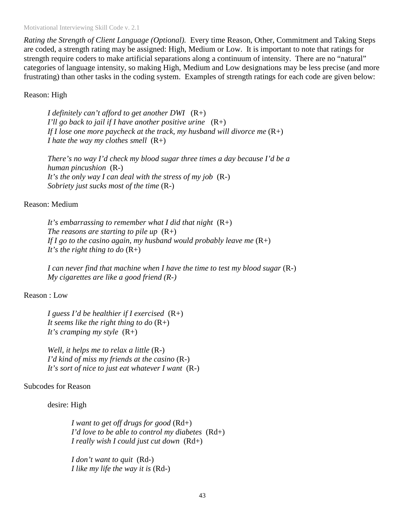Motivational Interviewing Skill Code v. 2.1

*Rating the Strength of Client Language (Optional).* Every time Reason, Other, Commitment and Taking Steps are coded, a strength rating may be assigned: High, Medium or Low. It is important to note that ratings for strength require coders to make artificial separations along a continuum of intensity. There are no "natural" categories of language intensity, so making High, Medium and Low designations may be less precise (and more frustrating) than other tasks in the coding system. Examples of strength ratings for each code are given below:

#### Reason: High

*I definitely can't afford to get another DWI* (R+) *I'll go back to jail if I have another positive urine* (R+) *If I lose one more paycheck at the track, my husband will divorce me*  $(R+)$ *I hate the way my clothes smell* (R+)

*There's no way I'd check my blood sugar three times a day because I'd be a human pincushion* (R-) *It's the only way I can deal with the stress of my job* (R-) *Sobriety just sucks most of the time* (R-)

#### Reason: Medium

*It's embarrassing to remember what I did that night* (R+) *The reasons are starting to pile up*  $(R+)$ *If I go to the casino again, my husband would probably leave me* (R+) *It's the right thing to do* (R+)

*I can never find that machine when I have the time to test my blood sugar* (R-) *My cigarettes are like a good friend (R-)* 

#### Reason : Low

*I guess I'd be healthier if I exercised* (R+) It seems like the right thing to do  $(R+)$ *It's cramping my style* (R+)

*Well, it helps me to relax a little* (R-) *I'd kind of miss my friends at the casino* (R-) *It's sort of nice to just eat whatever I want* (R-)

#### Subcodes for Reason

desire: High

*I want to get off drugs for good* (Rd+) *I'd love to be able to control my diabetes* (Rd+) *I really wish I could just cut down* (Rd+)

*I don't want to quit* (Rd-) *I like my life the way it is* (Rd-)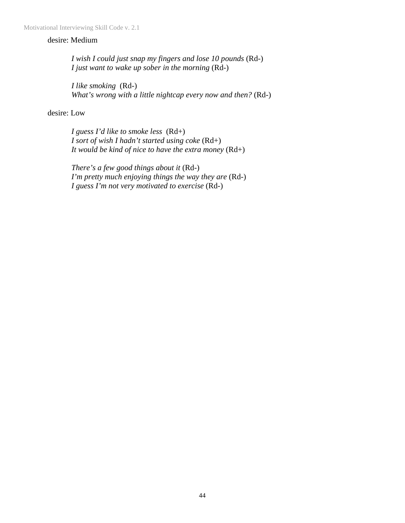#### desire: Medium

*I wish I could just snap my fingers and lose 10 pounds* (Rd-) *I just want to wake up sober in the morning* (Rd-)

*I like smoking* (Rd-) *What's wrong with a little nightcap every now and then?* (Rd-)

desire: Low

*I guess I'd like to smoke less* (Rd+) *I sort of wish I hadn't started using coke* (Rd+) *It would be kind of nice to have the extra money* (Rd+)

*There's a few good things about it* (Rd-) *I'm pretty much enjoying things the way they are* (Rd-) *I guess I'm not very motivated to exercise* (Rd-)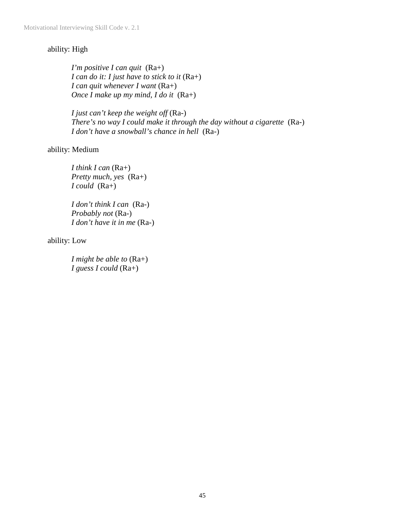## ability: High

*I'm positive I can quit* (Ra+) *I can do it: I just have to stick to it* (Ra+) *I can quit whenever I want* (Ra+) *Once I make up my mind, I do it* (Ra+)

*I just can't keep the weight off* (Ra-) *There's no way I could make it through the day without a cigarette* (Ra-) *I don't have a snowball's chance in hell* (Ra-)

#### ability: Medium

*I think I can* (Ra+) *Pretty much, yes* (Ra+) *I could* (Ra+)

*I don't think I can* (Ra-) *Probably not* (Ra-) *I don't have it in me* (Ra-)

ability: Low

*I might be able to* (Ra+) *I guess I could* (Ra+)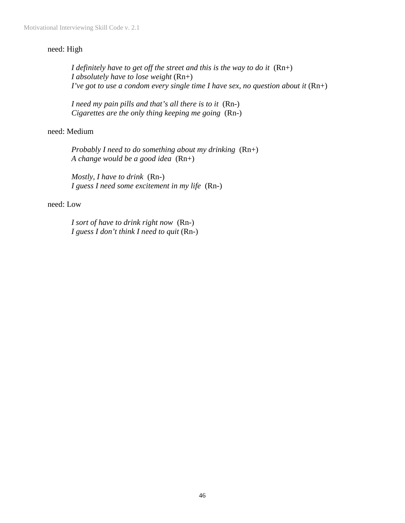#### need: High

*I definitely have to get off the street and this is the way to do it* (Rn+) *I absolutely have to lose weight* (Rn+) *I've got to use a condom every single time I have sex, no question about it* (Rn+)

*I need my pain pills and that's all there is to it* (Rn-) *Cigarettes are the only thing keeping me going* (Rn-)

#### need: Medium

*Probably I need to do something about my drinking* (Rn+) *A change would be a good idea* (Rn+)

*Mostly, I have to drink* (Rn-) *I guess I need some excitement in my life* (Rn-)

#### need: Low

*I sort of have to drink right now* (Rn-) *I guess I don't think I need to quit* (Rn-)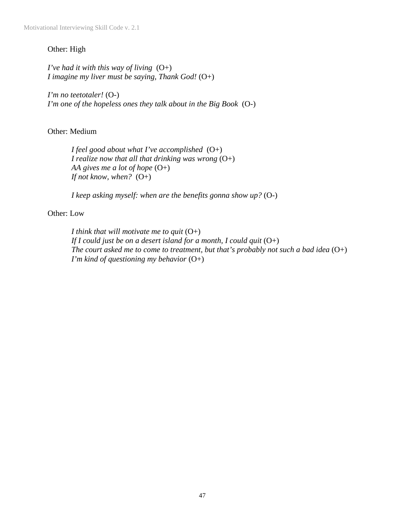#### Other: High

*I've had it with this way of living* (O+) *I imagine my liver must be saying, Thank God!* (O+)

*I'm no teetotaler!* (O-) *I'm one of the hopeless ones they talk about in the Big Book* (O-)

Other: Medium

*I feel good about what I've accomplished* (O+) *I realize now that all that drinking was wrong* (O+) *AA gives me a lot of hope* (O+) *If not know, when?* (O+)

*I keep asking myself: when are the benefits gonna show up?* (O-)

#### Other: Low

*I think that will motivate me to quit* (O+) *If I could just be on a desert island for a month, I could quit* (O+) *The court asked me to come to treatment, but that's probably not such a bad idea* (O+) *I'm kind of questioning my behavior* (O+)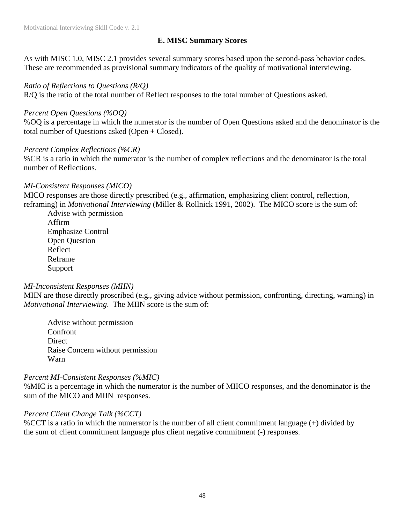### **E. MISC Summary Scores**

As with MISC 1.0, MISC 2.1 provides several summary scores based upon the second-pass behavior codes. These are recommended as provisional summary indicators of the quality of motivational interviewing.

#### *Ratio of Reflections to Questions (R/Q)*

R/Q is the ratio of the total number of Reflect responses to the total number of Questions asked.

#### *Percent Open Questions (%OQ)*

%OQ is a percentage in which the numerator is the number of Open Questions asked and the denominator is the total number of Questions asked (Open + Closed).

#### *Percent Complex Reflections (%CR)*

%CR is a ratio in which the numerator is the number of complex reflections and the denominator is the total number of Reflections.

#### *MI-Consistent Responses (MICO)*

MICO responses are those directly prescribed (e.g., affirmation, emphasizing client control, reflection, reframing) in *Motivational Interviewing* (Miller & Rollnick 1991, 2002). The MICO score is the sum of:

Advise with permission Affirm Emphasize Control Open Question Reflect Reframe Support

#### *MI-Inconsistent Responses (MIIN)*

MIIN are those directly proscribed (e.g., giving advice without permission, confronting, directing, warning) in *Motivational Interviewing*. The MIIN score is the sum of:

Advise without permission Confront Direct Raise Concern without permission Warn

#### *Percent MI-Consistent Responses (%MIC)*

%MIC is a percentage in which the numerator is the number of MIICO responses, and the denominator is the sum of the MICO and MIIN responses.

#### *Percent Client Change Talk (%CCT)*

%CCT is a ratio in which the numerator is the number of all client commitment language (+) divided by the sum of client commitment language plus client negative commitment (-) responses.